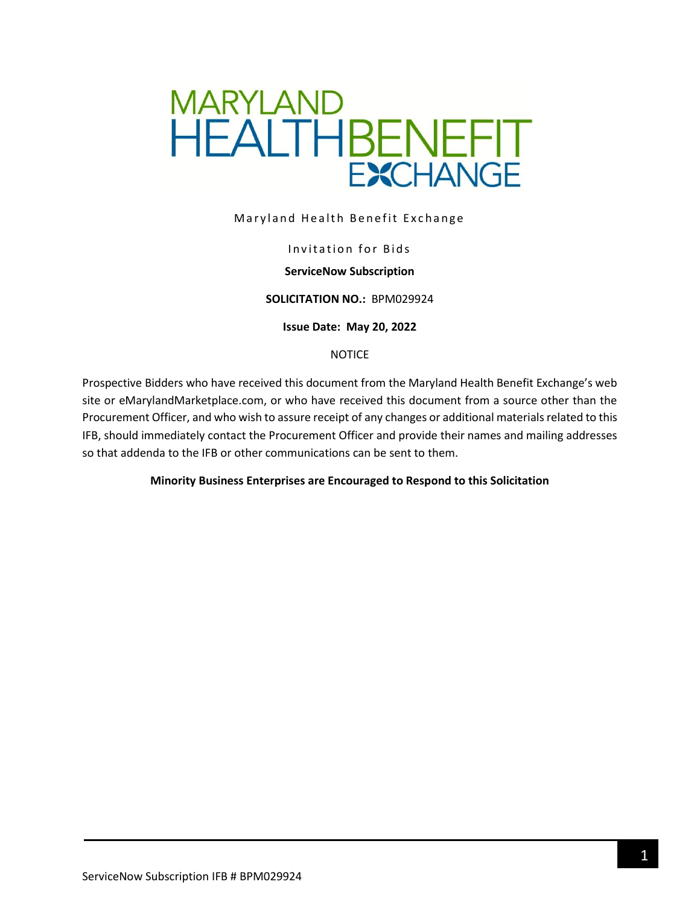

Maryland Health Benefit Exchange

### Invitation for Bids

#### **ServiceNow Subscription**

#### **SOLICITATION NO.:** BPM029924

**Issue Date: May 20, 2022**

#### NOTICE

Prospective Bidders who have received this document from the Maryland Health Benefit Exchange's web site or eMarylandMarketplace.com, or who have received this document from a source other than the Procurement Officer, and who wish to assure receipt of any changes or additional materials related to this IFB, should immediately contact the Procurement Officer and provide their names and mailing addresses so that addenda to the IFB or other communications can be sent to them.

### **Minority Business Enterprises are Encouraged to Respond to this Solicitation**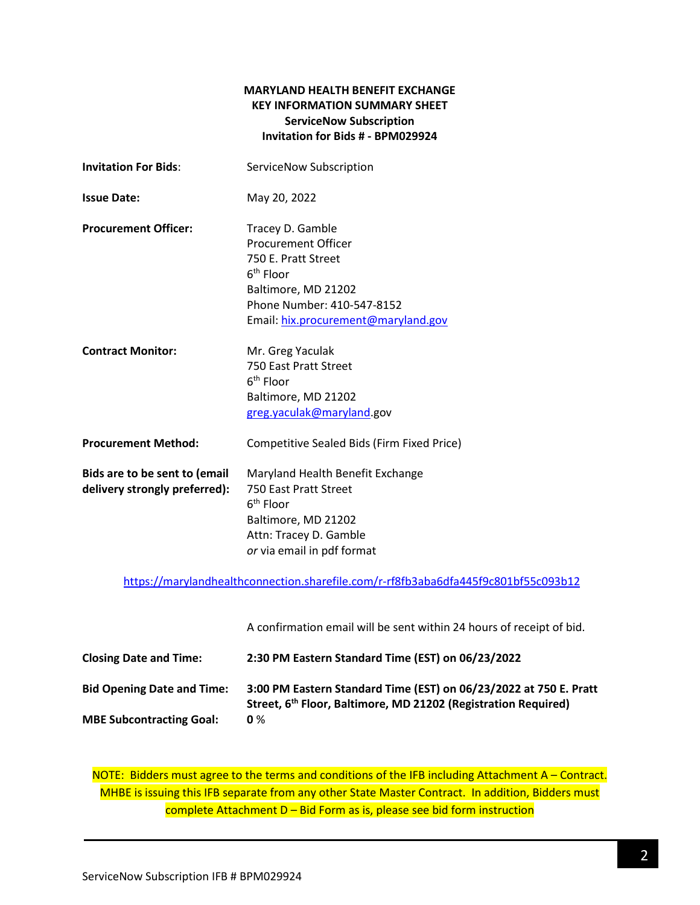### **MARYLAND HEALTH BENEFIT EXCHANGE KEY INFORMATION SUMMARY SHEET ServiceNow Subscription Invitation for Bids # - BPM029924**

| <b>Invitation For Bids:</b>                                    | ServiceNow Subscription                                                                                                                                                                    |
|----------------------------------------------------------------|--------------------------------------------------------------------------------------------------------------------------------------------------------------------------------------------|
| <b>Issue Date:</b>                                             | May 20, 2022                                                                                                                                                                               |
| <b>Procurement Officer:</b>                                    | Tracey D. Gamble<br><b>Procurement Officer</b><br>750 E. Pratt Street<br>6 <sup>th</sup> Floor<br>Baltimore, MD 21202<br>Phone Number: 410-547-8152<br>Email: hix.procurement@maryland.gov |
| <b>Contract Monitor:</b>                                       | Mr. Greg Yaculak<br>750 East Pratt Street<br>6 <sup>th</sup> Floor<br>Baltimore, MD 21202<br>greg.yaculak@maryland.gov                                                                     |
| <b>Procurement Method:</b>                                     | Competitive Sealed Bids (Firm Fixed Price)                                                                                                                                                 |
| Bids are to be sent to (email<br>delivery strongly preferred): | Maryland Health Benefit Exchange<br>750 East Pratt Street<br>6 <sup>th</sup> Floor<br>Baltimore, MD 21202<br>Attn: Tracey D. Gamble<br>or via email in pdf format                          |

<https://marylandhealthconnection.sharefile.com/r-rf8fb3aba6dfa445f9c801bf55c093b12>

|                                   | A confirmation email will be sent within 24 hours of receipt of bid.                                                                            |
|-----------------------------------|-------------------------------------------------------------------------------------------------------------------------------------------------|
| <b>Closing Date and Time:</b>     | 2:30 PM Eastern Standard Time (EST) on 06/23/2022                                                                                               |
| <b>Bid Opening Date and Time:</b> | 3:00 PM Eastern Standard Time (EST) on 06/23/2022 at 750 E. Pratt<br>Street, 6 <sup>th</sup> Floor, Baltimore, MD 21202 (Registration Required) |
| <b>MBE Subcontracting Goal:</b>   | $0\%$                                                                                                                                           |

NOTE: Bidders must agree to the terms and conditions of the IFB including Attachment A – Contract. MHBE is issuing this IFB separate from any other State Master Contract. In addition, Bidders must complete Attachment D – Bid Form as is, please see bid form instruction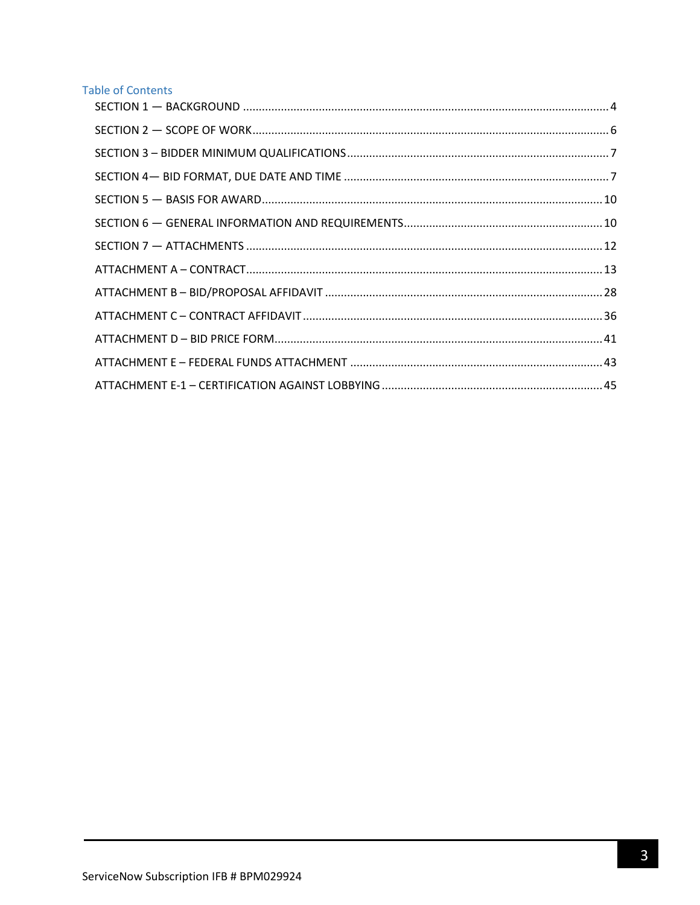# **Table of Contents**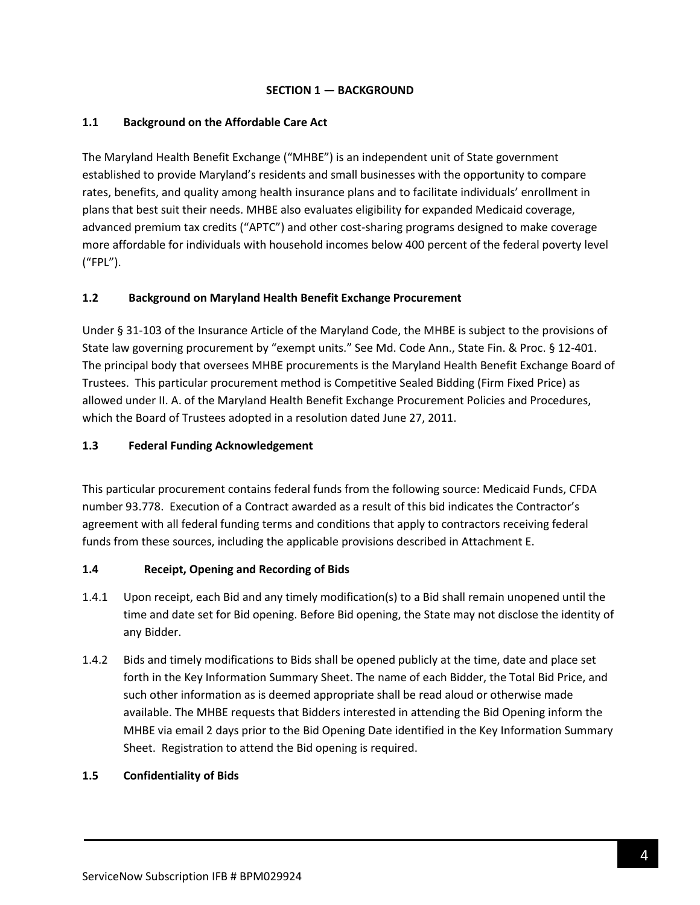### **SECTION 1 — BACKGROUND**

### <span id="page-3-0"></span>**1.1 Background on the Affordable Care Act**

The Maryland Health Benefit Exchange ("MHBE") is an independent unit of State government established to provide Maryland's residents and small businesses with the opportunity to compare rates, benefits, and quality among health insurance plans and to facilitate individuals' enrollment in plans that best suit their needs. MHBE also evaluates eligibility for expanded Medicaid coverage, advanced premium tax credits ("APTC") and other cost-sharing programs designed to make coverage more affordable for individuals with household incomes below 400 percent of the federal poverty level ("FPL").

# **1.2 Background on Maryland Health Benefit Exchange Procurement**

Under § 31-103 of the Insurance Article of the Maryland Code, the MHBE is subject to the provisions of State law governing procurement by "exempt units." See Md. Code Ann., State Fin. & Proc. § 12-401. The principal body that oversees MHBE procurements is the Maryland Health Benefit Exchange Board of Trustees. This particular procurement method is Competitive Sealed Bidding (Firm Fixed Price) as allowed under II. A. of the Maryland Health Benefit Exchange Procurement Policies and Procedures, which the Board of Trustees adopted in a resolution dated June 27, 2011.

### **1.3 Federal Funding Acknowledgement**

This particular procurement contains federal funds from the following source: Medicaid Funds, CFDA number 93.778. Execution of a Contract awarded as a result of this bid indicates the Contractor's agreement with all federal funding terms and conditions that apply to contractors receiving federal funds from these sources, including the applicable provisions described in Attachment E.

### **1.4 Receipt, Opening and Recording of Bids**

- 1.4.1 Upon receipt, each Bid and any timely modification(s) to a Bid shall remain unopened until the time and date set for Bid opening. Before Bid opening, the State may not disclose the identity of any Bidder.
- 1.4.2 Bids and timely modifications to Bids shall be opened publicly at the time, date and place set forth in the Key Information Summary Sheet. The name of each Bidder, the Total Bid Price, and such other information as is deemed appropriate shall be read aloud or otherwise made available. The MHBE requests that Bidders interested in attending the Bid Opening inform the MHBE via email 2 days prior to the Bid Opening Date identified in the Key Information Summary Sheet. Registration to attend the Bid opening is required.

### **1.5 Confidentiality of Bids**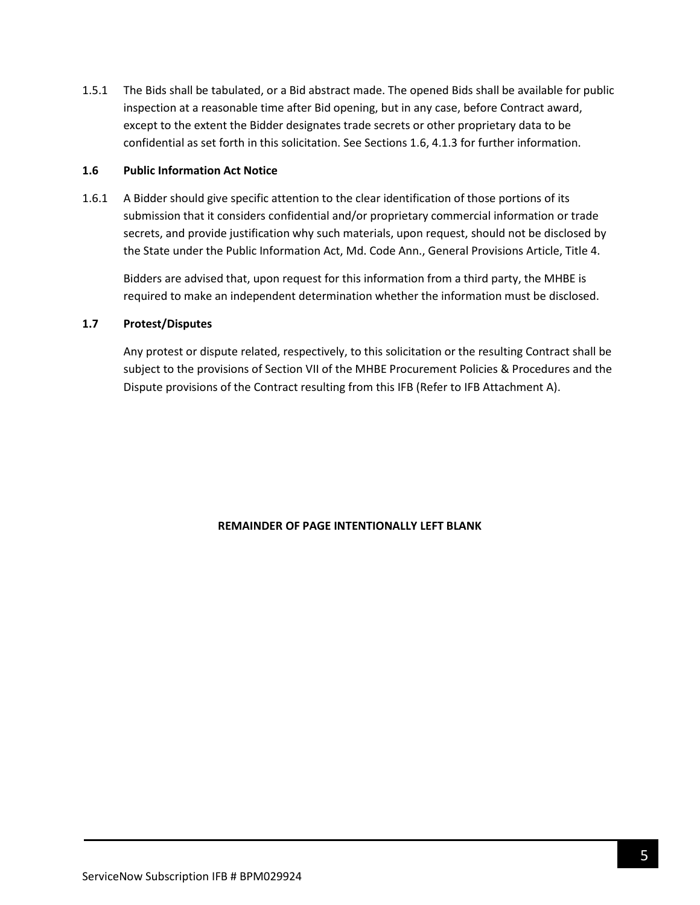1.5.1 The Bids shall be tabulated, or a Bid abstract made. The opened Bids shall be available for public inspection at a reasonable time after Bid opening, but in any case, before Contract award, except to the extent the Bidder designates trade secrets or other proprietary data to be confidential as set forth in this solicitation. See Sections 1.6, 4.1.3 for further information.

#### **1.6 Public Information Act Notice**

1.6.1 A Bidder should give specific attention to the clear identification of those portions of its submission that it considers confidential and/or proprietary commercial information or trade secrets, and provide justification why such materials, upon request, should not be disclosed by the State under the Public Information Act, Md. Code Ann., General Provisions Article, Title 4.

Bidders are advised that, upon request for this information from a third party, the MHBE is required to make an independent determination whether the information must be disclosed.

### **1.7 Protest/Disputes**

Any protest or dispute related, respectively, to this solicitation or the resulting Contract shall be subject to the provisions of Section VII of the MHBE Procurement Policies & Procedures and the Dispute provisions of the Contract resulting from this IFB (Refer to IFB Attachment A).

### **REMAINDER OF PAGE INTENTIONALLY LEFT BLANK**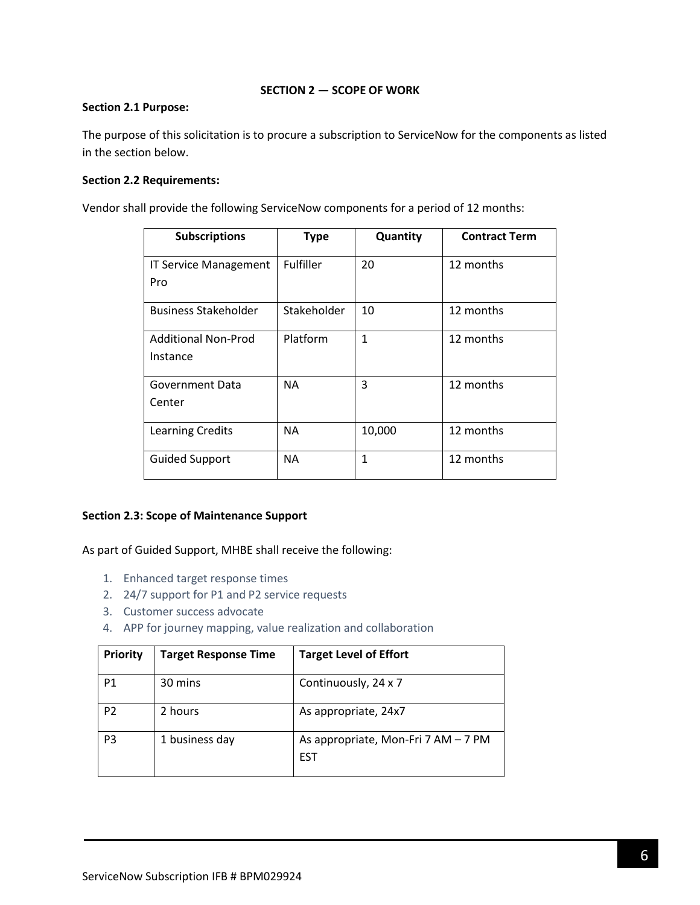### **SECTION 2 — SCOPE OF WORK**

### <span id="page-5-0"></span>**Section 2.1 Purpose:**

The purpose of this solicitation is to procure a subscription to ServiceNow for the components as listed in the section below.

#### **Section 2.2 Requirements:**

Vendor shall provide the following ServiceNow components for a period of 12 months:

| <b>Subscriptions</b>         | <b>Type</b> | Quantity     | <b>Contract Term</b> |
|------------------------------|-------------|--------------|----------------------|
| <b>IT Service Management</b> | Fulfiller   | 20           | 12 months            |
| Pro                          |             |              |                      |
| <b>Business Stakeholder</b>  | Stakeholder | 10           | 12 months            |
| <b>Additional Non-Prod</b>   | Platform    | $\mathbf{1}$ | 12 months            |
| Instance                     |             |              |                      |
| Government Data              | <b>NA</b>   | 3            | 12 months            |
| Center                       |             |              |                      |
| Learning Credits             | <b>NA</b>   | 10,000       | 12 months            |
| <b>Guided Support</b>        | <b>NA</b>   | 1            | 12 months            |

### **Section 2.3: Scope of Maintenance Support**

As part of Guided Support, MHBE shall receive the following:

- 1. Enhanced target response times
- 2. 24/7 support for P1 and P2 service requests
- 3. Customer success advocate
- 4. APP for journey mapping, value realization and collaboration

| Priority       | <b>Target Response Time</b> | <b>Target Level of Effort</b>                     |
|----------------|-----------------------------|---------------------------------------------------|
| P <sub>1</sub> | 30 mins                     | Continuously, 24 x 7                              |
| P <sub>2</sub> | 2 hours                     | As appropriate, 24x7                              |
| P <sub>3</sub> | 1 business day              | As appropriate, Mon-Fri 7 AM - 7 PM<br><b>EST</b> |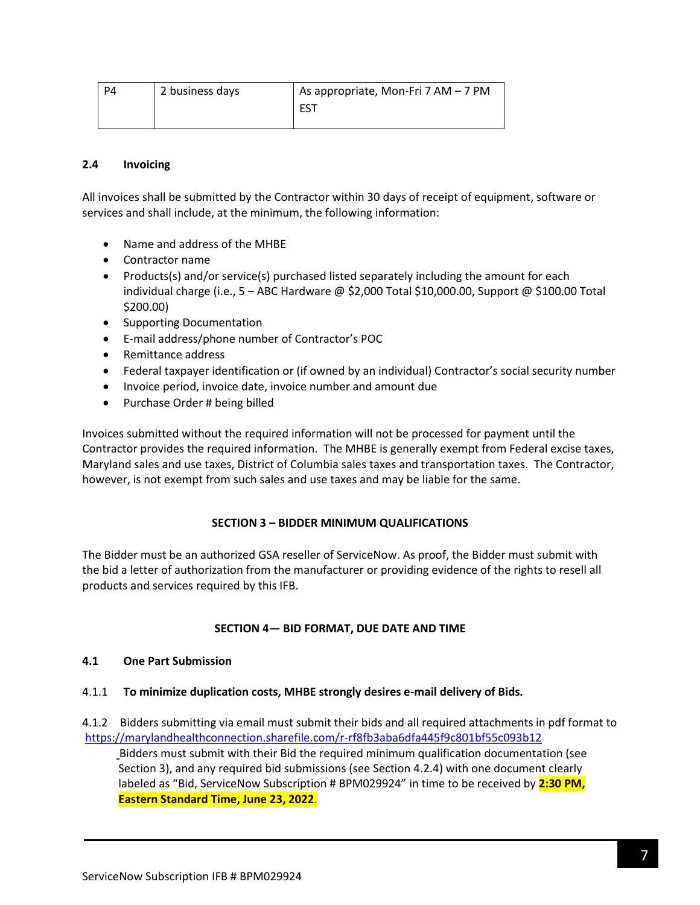| P4 | 2 business days | As appropriate, Mon-Fri 7 AM - 7 PM |
|----|-----------------|-------------------------------------|
|    |                 | ES <sub>1</sub>                     |
|    |                 |                                     |

### **2.4 Invoicing**

All invoices shall be submitted by the Contractor within 30 days of receipt of equipment, software or services and shall include, at the minimum, the following information:

- Name and address of the MHBE
- Contractor name
- Products(s) and/or service(s) purchased listed separately including the amount for each individual charge (i.e., 5 – ABC Hardware @ \$2,000 Total \$10,000.00, Support @ \$100.00 Total \$200.00)
- Supporting Documentation
- E-mail address/phone number of Contractor's POC
- Remittance address
- Federal taxpayer identification or (if owned by an individual) Contractor's social security number
- Invoice period, invoice date, invoice number and amount due
- Purchase Order # being billed

Invoices submitted without the required information will not be processed for payment until the Contractor provides the required information. The MHBE is generally exempt from Federal excise taxes, Maryland sales and use taxes, District of Columbia sales taxes and transportation taxes. The Contractor, however, is not exempt from such sales and use taxes and may be liable for the same.

### **SECTION 3 – BIDDER MINIMUM QUALIFICATIONS**

<span id="page-6-0"></span>The Bidder must be an authorized GSA reseller of ServiceNow. As proof, the Bidder must submit with the bid a letter of authorization from the manufacturer or providing evidence of the rights to resell all products and services required by this IFB.

### **SECTION 4— BID FORMAT, DUE DATE AND TIME**

### <span id="page-6-1"></span>**4.1 One Part Submission**

### 4.1.1 **To minimize duplication costs, MHBE strongly desires e-mail delivery of Bids***.*

4.1.2 Bidders submitting via email must submit their bids and all required attachments in pdf format to <https://marylandhealthconnection.sharefile.com/r-rf8fb3aba6dfa445f9c801bf55c093b12>

 Bidders must submit with their Bid the required minimum qualification documentation (see Section 3), and any required bid submissions (see Section 4.2.4) with one document clearly labeled as "Bid, ServiceNow Subscription # BPM029924" in time to be received by **2:30 PM, Eastern Standard Time, June 23, 2022**.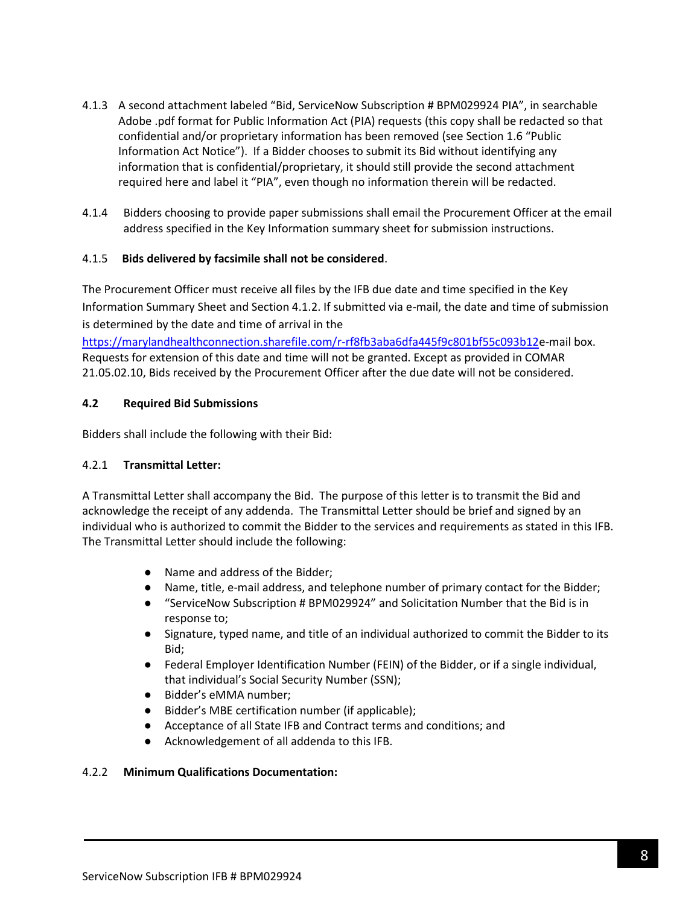- 4.1.3 A second attachment labeled "Bid, ServiceNow Subscription # BPM029924 PIA", in searchable Adobe .pdf format for Public Information Act (PIA) requests (this copy shall be redacted so that confidential and/or proprietary information has been removed (see Section 1.6 "Public Information Act Notice"). If a Bidder chooses to submit its Bid without identifying any information that is confidential/proprietary, it should still provide the second attachment required here and label it "PIA", even though no information therein will be redacted.
- 4.1.4 Bidders choosing to provide paper submissions shall email the Procurement Officer at the email address specified in the Key Information summary sheet for submission instructions.

### 4.1.5 **Bids delivered by facsimile shall not be considered**.

The Procurement Officer must receive all files by the IFB due date and time specified in the Key Information Summary Sheet and Section 4.1.2. If submitted via e-mail, the date and time of submission is determined by the date and time of arrival in the

[https://marylandhealthconnection.sharefile.com/r-rf8fb3aba6dfa445f9c801bf55c093b12e](https://marylandhealthconnection.sharefile.com/r-rf8fb3aba6dfa445f9c801bf55c093b12)-mail box. Requests for extension of this date and time will not be granted. Except as provided in COMAR 21.05.02.10, Bids received by the Procurement Officer after the due date will not be considered.

### **4.2 Required Bid Submissions**

Bidders shall include the following with their Bid:

### 4.2.1 **Transmittal Letter:**

A Transmittal Letter shall accompany the Bid. The purpose of this letter is to transmit the Bid and acknowledge the receipt of any addenda. The Transmittal Letter should be brief and signed by an individual who is authorized to commit the Bidder to the services and requirements as stated in this IFB. The Transmittal Letter should include the following:

- Name and address of the Bidder;
- Name, title, e-mail address, and telephone number of primary contact for the Bidder;
- "ServiceNow Subscription # BPM029924" and Solicitation Number that the Bid is in response to;
- Signature, typed name, and title of an individual authorized to commit the Bidder to its Bid;
- Federal Employer Identification Number (FEIN) of the Bidder, or if a single individual, that individual's Social Security Number (SSN);
- Bidder's eMMA number;
- Bidder's MBE certification number (if applicable);
- Acceptance of all State IFB and Contract terms and conditions; and
- Acknowledgement of all addenda to this IFB.

### 4.2.2 **Minimum Qualifications Documentation:**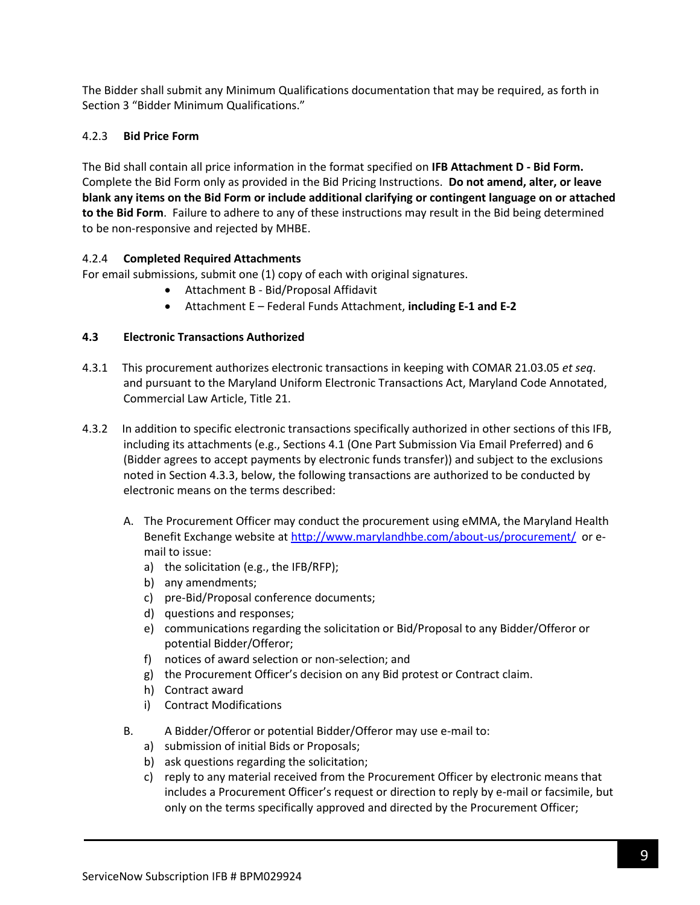The Bidder shall submit any Minimum Qualifications documentation that may be required, as forth in Section 3 "Bidder Minimum Qualifications."

# 4.2.3 **Bid Price Form**

The Bid shall contain all price information in the format specified on **IFB Attachment D - Bid Form.** Complete the Bid Form only as provided in the Bid Pricing Instructions. **Do not amend, alter, or leave blank any items on the Bid Form or include additional clarifying or contingent language on or attached to the Bid Form**. Failure to adhere to any of these instructions may result in the Bid being determined to be non-responsive and rejected by MHBE.

# 4.2.4 **Completed Required Attachments**

For email submissions, submit one (1) copy of each with original signatures.

- Attachment B Bid/Proposal Affidavit
- Attachment E Federal Funds Attachment, **including E-1 and E-2**

# **4.3 Electronic Transactions Authorized**

- 4.3.1 This procurement authorizes electronic transactions in keeping with COMAR 21.03.05 *et seq*. and pursuant to the Maryland Uniform Electronic Transactions Act, Maryland Code Annotated, Commercial Law Article, Title 21.
- 4.3.2 In addition to specific electronic transactions specifically authorized in other sections of this IFB, including its attachments (e.g., Sections 4.1 (One Part Submission Via Email Preferred) and 6 (Bidder agrees to accept payments by electronic funds transfer)) and subject to the exclusions noted in Section 4.3.3, below, the following transactions are authorized to be conducted by electronic means on the terms described:
	- A. The Procurement Officer may conduct the procurement using eMMA, the Maryland Health Benefit Exchange website a[t http://www.marylandhbe.com/about-us/procurement/](http://www.marylandhbe.com/about-us/procurement/) or email to issue:
		- a) the solicitation (e.g., the IFB/RFP);
		- b) any amendments;
		- c) pre-Bid/Proposal conference documents;
		- d) questions and responses;
		- e) communications regarding the solicitation or Bid/Proposal to any Bidder/Offeror or potential Bidder/Offeror;
		- f) notices of award selection or non-selection; and
		- g) the Procurement Officer's decision on any Bid protest or Contract claim.
		- h) Contract award
		- i) Contract Modifications
	- B. A Bidder/Offeror or potential Bidder/Offeror may use e-mail to:
		- a) submission of initial Bids or Proposals;
		- b) ask questions regarding the solicitation;
		- c) reply to any material received from the Procurement Officer by electronic means that includes a Procurement Officer's request or direction to reply by e-mail or facsimile, but only on the terms specifically approved and directed by the Procurement Officer;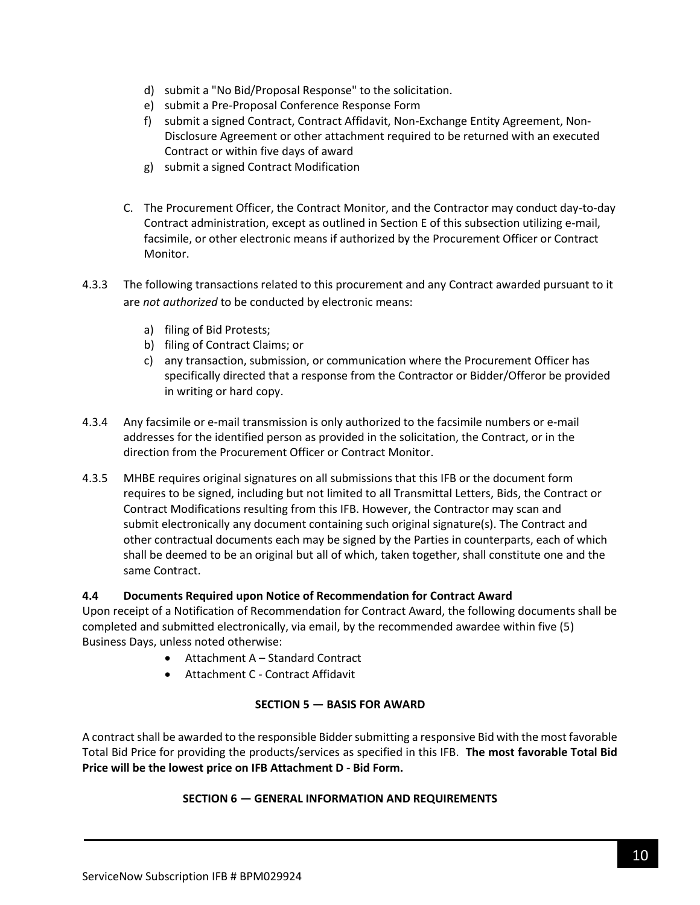- d) submit a "No Bid/Proposal Response" to the solicitation.
- e) submit a Pre-Proposal Conference Response Form
- f) submit a signed Contract, Contract Affidavit, Non-Exchange Entity Agreement, Non-Disclosure Agreement or other attachment required to be returned with an executed Contract or within five days of award
- g) submit a signed Contract Modification
- C. The Procurement Officer, the Contract Monitor, and the Contractor may conduct day-to-day Contract administration, except as outlined in Section E of this subsection utilizing e-mail, facsimile, or other electronic means if authorized by the Procurement Officer or Contract Monitor.
- 4.3.3 The following transactions related to this procurement and any Contract awarded pursuant to it are *not authorized* to be conducted by electronic means:
	- a) filing of Bid Protests;
	- b) filing of Contract Claims; or
	- c) any transaction, submission, or communication where the Procurement Officer has specifically directed that a response from the Contractor or Bidder/Offeror be provided in writing or hard copy.
- 4.3.4 Any facsimile or e-mail transmission is only authorized to the facsimile numbers or e-mail addresses for the identified person as provided in the solicitation, the Contract, or in the direction from the Procurement Officer or Contract Monitor.
- 4.3.5 MHBE requires original signatures on all submissions that this IFB or the document form requires to be signed, including but not limited to all Transmittal Letters, Bids, the Contract or Contract Modifications resulting from this IFB. However, the Contractor may scan and submit electronically any document containing such original signature(s). The Contract and other contractual documents each may be signed by the Parties in counterparts, each of which shall be deemed to be an original but all of which, taken together, shall constitute one and the same Contract.

### **4.4 Documents Required upon Notice of Recommendation for Contract Award**

Upon receipt of a Notification of Recommendation for Contract Award, the following documents shall be completed and submitted electronically, via email, by the recommended awardee within five (5) Business Days, unless noted otherwise:

- Attachment A Standard Contract
- Attachment C Contract Affidavit

### **SECTION 5 — BASIS FOR AWARD**

<span id="page-9-1"></span><span id="page-9-0"></span>A contract shall be awarded to the responsible Bidder submitting a responsive Bid with the most favorable Total Bid Price for providing the products/services as specified in this IFB. **The most favorable Total Bid Price will be the lowest price on IFB Attachment D - Bid Form.**

### **SECTION 6 — GENERAL INFORMATION AND REQUIREMENTS**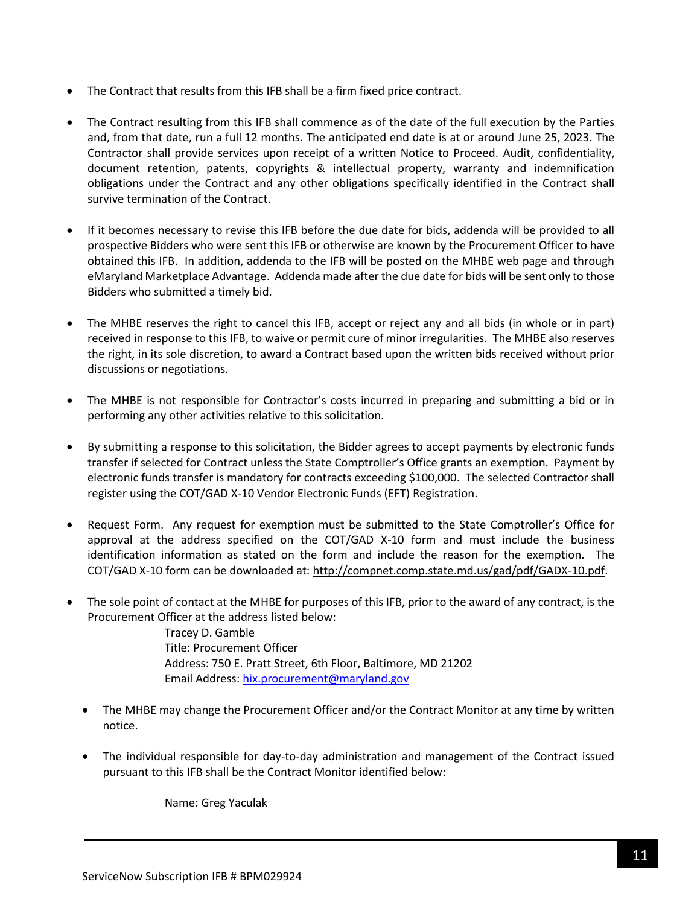- The Contract that results from this IFB shall be a firm fixed price contract.
- The Contract resulting from this IFB shall commence as of the date of the full execution by the Parties and, from that date, run a full 12 months. The anticipated end date is at or around June 25, 2023. The Contractor shall provide services upon receipt of a written Notice to Proceed. Audit, confidentiality, document retention, patents, copyrights & intellectual property, warranty and indemnification obligations under the Contract and any other obligations specifically identified in the Contract shall survive termination of the Contract.
- If it becomes necessary to revise this IFB before the due date for bids, addenda will be provided to all prospective Bidders who were sent this IFB or otherwise are known by the Procurement Officer to have obtained this IFB. In addition, addenda to the IFB will be posted on the MHBE web page and through eMaryland Marketplace Advantage. Addenda made after the due date for bids will be sent only to those Bidders who submitted a timely bid.
- The MHBE reserves the right to cancel this IFB, accept or reject any and all bids (in whole or in part) received in response to this IFB, to waive or permit cure of minor irregularities. The MHBE also reserves the right, in its sole discretion, to award a Contract based upon the written bids received without prior discussions or negotiations.
- The MHBE is not responsible for Contractor's costs incurred in preparing and submitting a bid or in performing any other activities relative to this solicitation.
- By submitting a response to this solicitation, the Bidder agrees to accept payments by electronic funds transfer if selected for Contract unless the State Comptroller's Office grants an exemption. Payment by electronic funds transfer is mandatory for contracts exceeding \$100,000. The selected Contractor shall register using the COT/GAD X-10 Vendor Electronic Funds (EFT) Registration.
- Request Form. Any request for exemption must be submitted to the State Comptroller's Office for approval at the address specified on the COT/GAD X-10 form and must include the business identification information as stated on the form and include the reason for the exemption. The COT/GAD X-10 form can be downloaded at[: http://compnet.comp.state.md.us/gad/pdf/GADX-10.pdf.](http://compnet.comp.state.md.us/gad/pdf/GADX-10.pdf)
- The sole point of contact at the MHBE for purposes of this IFB, prior to the award of any contract, is the Procurement Officer at the address listed below:

Tracey D. Gamble Title: Procurement Officer Address: 750 E. Pratt Street, 6th Floor, Baltimore, MD 21202 Email Address: [hix.procurement@maryland.gov](mailto:hix.procurement@maryland.gov)

- The MHBE may change the Procurement Officer and/or the Contract Monitor at any time by written notice.
- The individual responsible for day-to-day administration and management of the Contract issued pursuant to this IFB shall be the Contract Monitor identified below:

Name: Greg Yaculak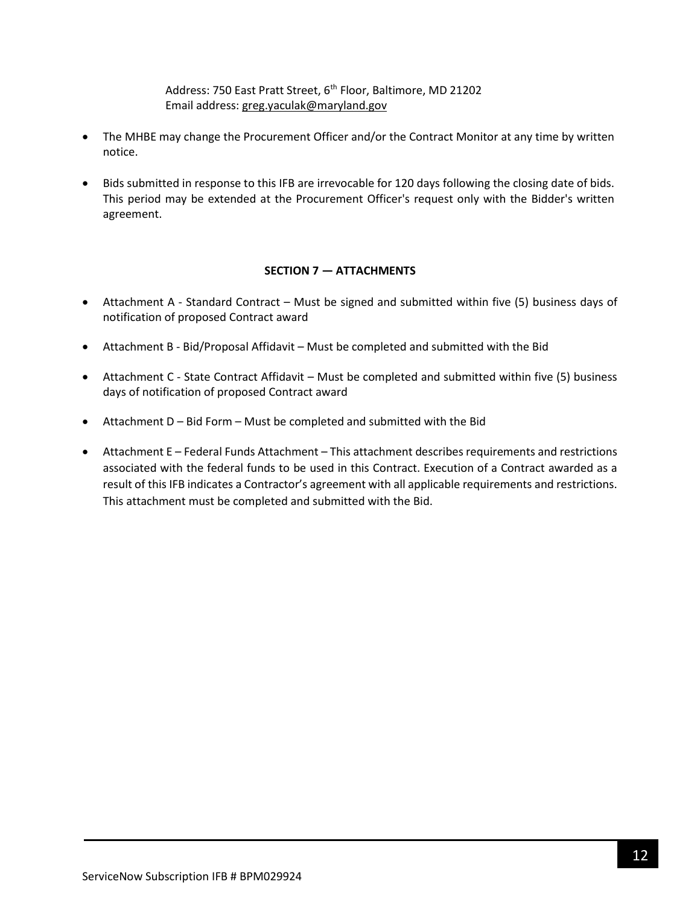Address: 750 East Pratt Street, 6<sup>th</sup> Floor, Baltimore, MD 21202 Email address: [greg.yaculak@maryland.gov](mailto:greg.yaculak@maryland.gov) 

- The MHBE may change the Procurement Officer and/or the Contract Monitor at any time by written notice.
- Bids submitted in response to this IFB are irrevocable for 120 days following the closing date of bids. This period may be extended at the Procurement Officer's request only with the Bidder's written agreement.

### **SECTION 7 — ATTACHMENTS**

- <span id="page-11-0"></span>• Attachment A - Standard Contract – Must be signed and submitted within five (5) business days of notification of proposed Contract award
- Attachment B Bid/Proposal Affidavit Must be completed and submitted with the Bid
- Attachment C State Contract Affidavit Must be completed and submitted within five (5) business days of notification of proposed Contract award
- Attachment D Bid Form Must be completed and submitted with the Bid
- Attachment E Federal Funds Attachment This attachment describes requirements and restrictions associated with the federal funds to be used in this Contract. Execution of a Contract awarded as a result of this IFB indicates a Contractor's agreement with all applicable requirements and restrictions. This attachment must be completed and submitted with the Bid.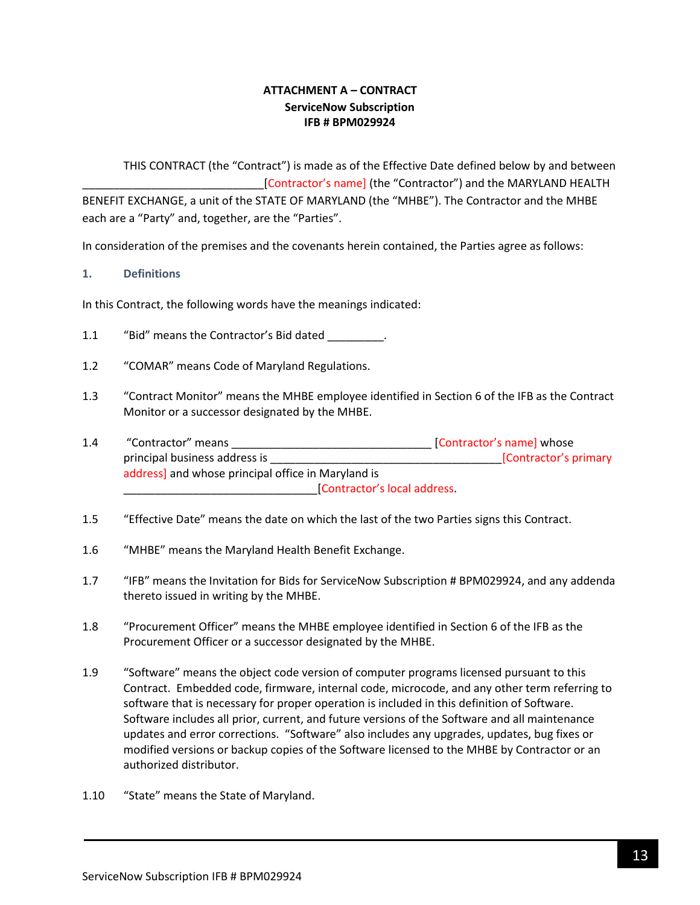# **ATTACHMENT A – CONTRACT ServiceNow Subscription IFB # BPM029924**

<span id="page-12-0"></span>THIS CONTRACT (the "Contract") is made as of the Effective Date defined below by and between [Contractor's name] (the "Contractor") and the MARYLAND HEALTH BENEFIT EXCHANGE, a unit of the STATE OF MARYLAND (the "MHBE"). The Contractor and the MHBE each are a "Party" and, together, are the "Parties".

In consideration of the premises and the covenants herein contained, the Parties agree as follows:

### **1. Definitions**

In this Contract, the following words have the meanings indicated:

- 1.1 "Bid" means the Contractor's Bid dated .
- 1.2 "COMAR" means Code of Maryland Regulations.
- 1.3 "Contract Monitor" means the MHBE employee identified in Section 6 of the IFB as the Contract Monitor or a successor designated by the MHBE.
- 1.4 "Contractor" means \_\_\_\_\_\_\_\_\_\_\_\_\_\_\_\_\_\_\_\_\_\_\_\_\_\_\_\_\_\_\_\_ [Contractor's name] whose principal business address is \_\_\_\_\_\_\_\_\_\_\_\_\_\_\_\_\_\_\_\_\_\_\_\_\_\_\_\_\_\_\_\_\_\_\_\_\_[Contractor's primary address] and whose principal office in Maryland is \_\_\_\_\_\_\_\_\_\_\_\_\_\_\_\_\_\_\_\_\_\_\_\_\_\_\_\_\_\_\_[Contractor's local address.
- 1.5 "Effective Date" means the date on which the last of the two Parties signs this Contract.
- 1.6 "MHBE" means the Maryland Health Benefit Exchange.
- 1.7 "IFB" means the Invitation for Bids for ServiceNow Subscription # BPM029924, and any addenda thereto issued in writing by the MHBE.
- 1.8 "Procurement Officer" means the MHBE employee identified in Section 6 of the IFB as the Procurement Officer or a successor designated by the MHBE.
- 1.9 "Software" means the object code version of computer programs licensed pursuant to this Contract. Embedded code, firmware, internal code, microcode, and any other term referring to software that is necessary for proper operation is included in this definition of Software. Software includes all prior, current, and future versions of the Software and all maintenance updates and error corrections. "Software" also includes any upgrades, updates, bug fixes or modified versions or backup copies of the Software licensed to the MHBE by Contractor or an authorized distributor.
- 1.10 "State" means the State of Maryland.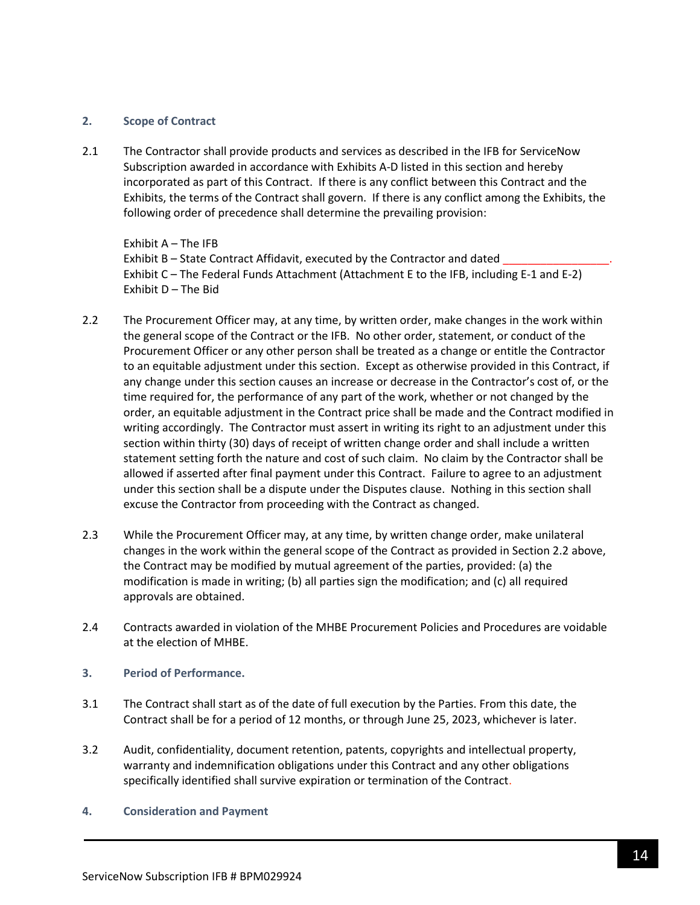#### **2. Scope of Contract**

2.1 The Contractor shall provide products and services as described in the IFB for ServiceNow Subscription awarded in accordance with Exhibits A-D listed in this section and hereby incorporated as part of this Contract. If there is any conflict between this Contract and the Exhibits, the terms of the Contract shall govern. If there is any conflict among the Exhibits, the following order of precedence shall determine the prevailing provision:

Exhibit A – The IFB Exhibit B – State Contract Affidavit, executed by the Contractor and dated Exhibit C – The Federal Funds Attachment (Attachment E to the IFB, including E-1 and E-2) Exhibit D – The Bid

- 2.2 The Procurement Officer may, at any time, by written order, make changes in the work within the general scope of the Contract or the IFB. No other order, statement, or conduct of the Procurement Officer or any other person shall be treated as a change or entitle the Contractor to an equitable adjustment under this section. Except as otherwise provided in this Contract, if any change under this section causes an increase or decrease in the Contractor's cost of, or the time required for, the performance of any part of the work, whether or not changed by the order, an equitable adjustment in the Contract price shall be made and the Contract modified in writing accordingly. The Contractor must assert in writing its right to an adjustment under this section within thirty (30) days of receipt of written change order and shall include a written statement setting forth the nature and cost of such claim. No claim by the Contractor shall be allowed if asserted after final payment under this Contract. Failure to agree to an adjustment under this section shall be a dispute under the Disputes clause. Nothing in this section shall excuse the Contractor from proceeding with the Contract as changed.
- 2.3 While the Procurement Officer may, at any time, by written change order, make unilateral changes in the work within the general scope of the Contract as provided in Section 2.2 above, the Contract may be modified by mutual agreement of the parties, provided: (a) the modification is made in writing; (b) all parties sign the modification; and (c) all required approvals are obtained.
- 2.4 Contracts awarded in violation of the MHBE Procurement Policies and Procedures are voidable at the election of MHBE.
- **3. Period of Performance.**
- 3.1 The Contract shall start as of the date of full execution by the Parties. From this date, the Contract shall be for a period of 12 months, or through June 25, 2023, whichever is later.
- 3.2 Audit, confidentiality, document retention, patents, copyrights and intellectual property, warranty and indemnification obligations under this Contract and any other obligations specifically identified shall survive expiration or termination of the Contract.
- **4. Consideration and Payment**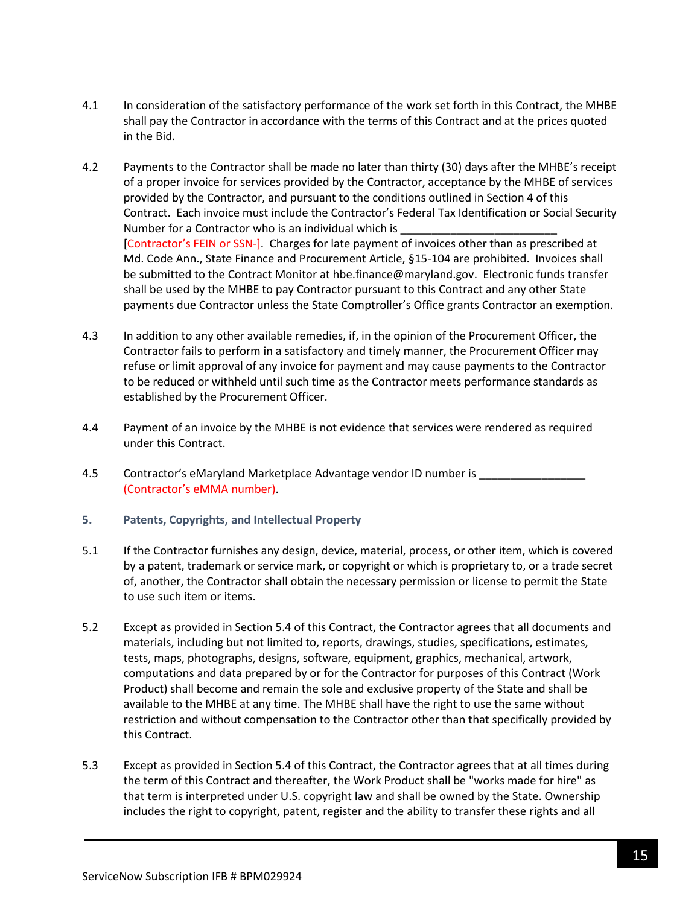- 4.1 In consideration of the satisfactory performance of the work set forth in this Contract, the MHBE shall pay the Contractor in accordance with the terms of this Contract and at the prices quoted in the Bid.
- 4.2 Payments to the Contractor shall be made no later than thirty (30) days after the MHBE's receipt of a proper invoice for services provided by the Contractor, acceptance by the MHBE of services provided by the Contractor, and pursuant to the conditions outlined in Section 4 of this Contract. Each invoice must include the Contractor's Federal Tax Identification or Social Security Number for a Contractor who is an individual which is [Contractor's FEIN or SSN-]. Charges for late payment of invoices other than as prescribed at Md. Code Ann., State Finance and Procurement Article, §15-104 are prohibited. Invoices shall be submitted to the Contract Monitor at hbe.finance@maryland.gov. Electronic funds transfer shall be used by the MHBE to pay Contractor pursuant to this Contract and any other State payments due Contractor unless the State Comptroller's Office grants Contractor an exemption.
- 4.3 In addition to any other available remedies, if, in the opinion of the Procurement Officer, the Contractor fails to perform in a satisfactory and timely manner, the Procurement Officer may refuse or limit approval of any invoice for payment and may cause payments to the Contractor to be reduced or withheld until such time as the Contractor meets performance standards as established by the Procurement Officer.
- 4.4 Payment of an invoice by the MHBE is not evidence that services were rendered as required under this Contract.
- 4.5 Contractor's eMaryland Marketplace Advantage vendor ID number is \_\_\_\_\_\_\_\_\_\_\_ (Contractor's eMMA number).
- **5. Patents, Copyrights, and Intellectual Property**
- 5.1 If the Contractor furnishes any design, device, material, process, or other item, which is covered by a patent, trademark or service mark, or copyright or which is proprietary to, or a trade secret of, another, the Contractor shall obtain the necessary permission or license to permit the State to use such item or items.
- 5.2 Except as provided in Section 5.4 of this Contract, the Contractor agrees that all documents and materials, including but not limited to, reports, drawings, studies, specifications, estimates, tests, maps, photographs, designs, software, equipment, graphics, mechanical, artwork, computations and data prepared by or for the Contractor for purposes of this Contract (Work Product) shall become and remain the sole and exclusive property of the State and shall be available to the MHBE at any time. The MHBE shall have the right to use the same without restriction and without compensation to the Contractor other than that specifically provided by this Contract.
- 5.3 Except as provided in Section 5.4 of this Contract, the Contractor agrees that at all times during the term of this Contract and thereafter, the Work Product shall be "works made for hire" as that term is interpreted under U.S. copyright law and shall be owned by the State. Ownership includes the right to copyright, patent, register and the ability to transfer these rights and all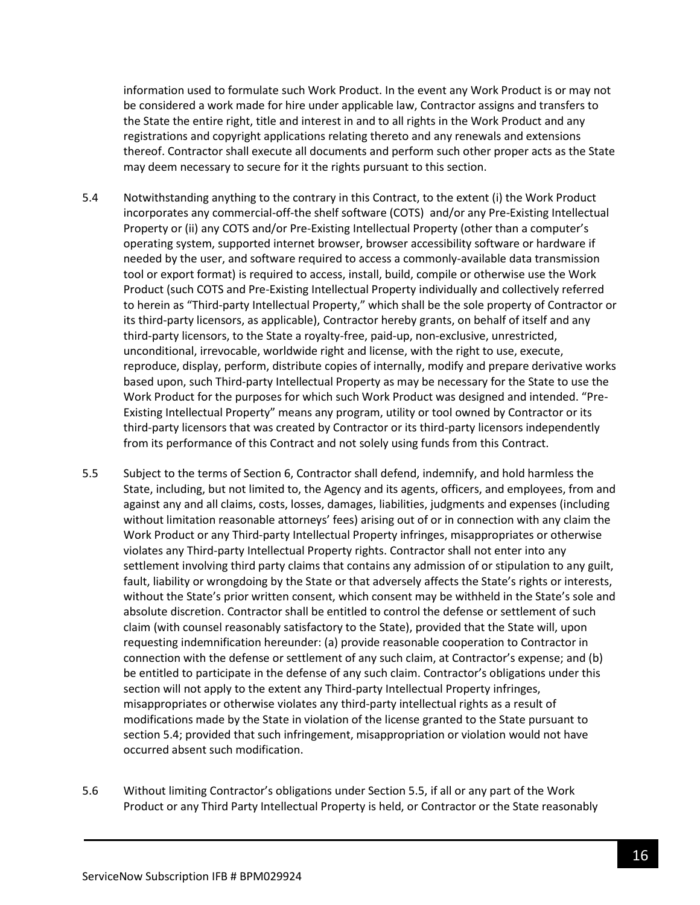information used to formulate such Work Product. In the event any Work Product is or may not be considered a work made for hire under applicable law, Contractor assigns and transfers to the State the entire right, title and interest in and to all rights in the Work Product and any registrations and copyright applications relating thereto and any renewals and extensions thereof. Contractor shall execute all documents and perform such other proper acts as the State may deem necessary to secure for it the rights pursuant to this section.

- 5.4 Notwithstanding anything to the contrary in this Contract, to the extent (i) the Work Product incorporates any commercial-off-the shelf software (COTS) and/or any Pre-Existing Intellectual Property or (ii) any COTS and/or Pre-Existing Intellectual Property (other than a computer's operating system, supported internet browser, browser accessibility software or hardware if needed by the user, and software required to access a commonly-available data transmission tool or export format) is required to access, install, build, compile or otherwise use the Work Product (such COTS and Pre-Existing Intellectual Property individually and collectively referred to herein as "Third-party Intellectual Property," which shall be the sole property of Contractor or its third-party licensors, as applicable), Contractor hereby grants, on behalf of itself and any third-party licensors, to the State a royalty-free, paid-up, non-exclusive, unrestricted, unconditional, irrevocable, worldwide right and license, with the right to use, execute, reproduce, display, perform, distribute copies of internally, modify and prepare derivative works based upon, such Third-party Intellectual Property as may be necessary for the State to use the Work Product for the purposes for which such Work Product was designed and intended. "Pre-Existing Intellectual Property" means any program, utility or tool owned by Contractor or its third-party licensors that was created by Contractor or its third-party licensors independently from its performance of this Contract and not solely using funds from this Contract.
- 5.5 Subject to the terms of Section 6, Contractor shall defend, indemnify, and hold harmless the State, including, but not limited to, the Agency and its agents, officers, and employees, from and against any and all claims, costs, losses, damages, liabilities, judgments and expenses (including without limitation reasonable attorneys' fees) arising out of or in connection with any claim the Work Product or any Third-party Intellectual Property infringes, misappropriates or otherwise violates any Third-party Intellectual Property rights. Contractor shall not enter into any settlement involving third party claims that contains any admission of or stipulation to any guilt, fault, liability or wrongdoing by the State or that adversely affects the State's rights or interests, without the State's prior written consent, which consent may be withheld in the State's sole and absolute discretion. Contractor shall be entitled to control the defense or settlement of such claim (with counsel reasonably satisfactory to the State), provided that the State will, upon requesting indemnification hereunder: (a) provide reasonable cooperation to Contractor in connection with the defense or settlement of any such claim, at Contractor's expense; and (b) be entitled to participate in the defense of any such claim. Contractor's obligations under this section will not apply to the extent any Third-party Intellectual Property infringes, misappropriates or otherwise violates any third-party intellectual rights as a result of modifications made by the State in violation of the license granted to the State pursuant to section 5.4; provided that such infringement, misappropriation or violation would not have occurred absent such modification.
- 5.6 Without limiting Contractor's obligations under Section 5.5, if all or any part of the Work Product or any Third Party Intellectual Property is held, or Contractor or the State reasonably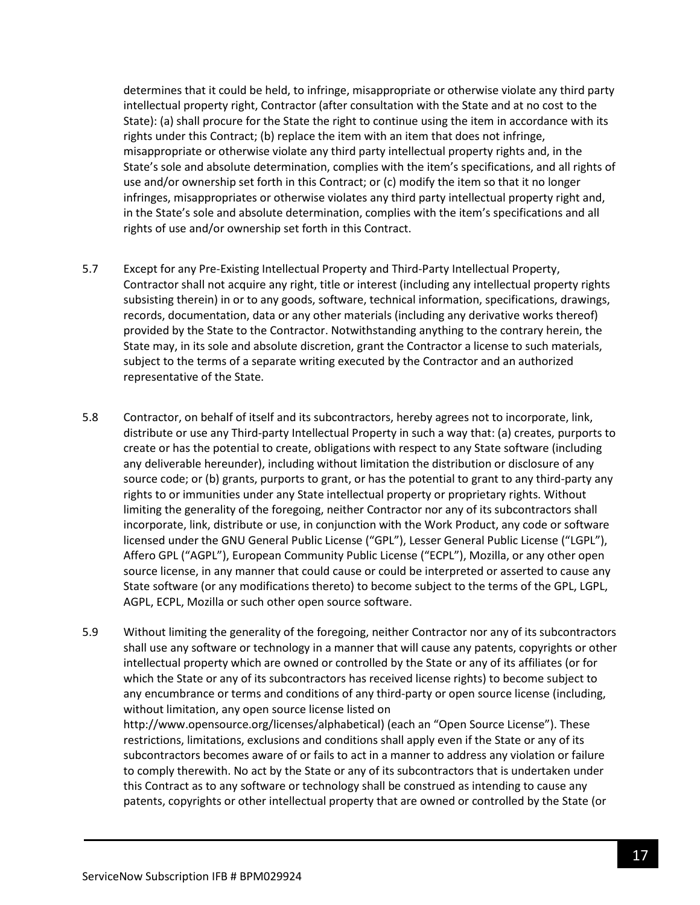determines that it could be held, to infringe, misappropriate or otherwise violate any third party intellectual property right, Contractor (after consultation with the State and at no cost to the State): (a) shall procure for the State the right to continue using the item in accordance with its rights under this Contract; (b) replace the item with an item that does not infringe, misappropriate or otherwise violate any third party intellectual property rights and, in the State's sole and absolute determination, complies with the item's specifications, and all rights of use and/or ownership set forth in this Contract; or (c) modify the item so that it no longer infringes, misappropriates or otherwise violates any third party intellectual property right and, in the State's sole and absolute determination, complies with the item's specifications and all rights of use and/or ownership set forth in this Contract.

- 5.7 Except for any Pre-Existing Intellectual Property and Third-Party Intellectual Property, Contractor shall not acquire any right, title or interest (including any intellectual property rights subsisting therein) in or to any goods, software, technical information, specifications, drawings, records, documentation, data or any other materials (including any derivative works thereof) provided by the State to the Contractor. Notwithstanding anything to the contrary herein, the State may, in its sole and absolute discretion, grant the Contractor a license to such materials, subject to the terms of a separate writing executed by the Contractor and an authorized representative of the State.
- 5.8 Contractor, on behalf of itself and its subcontractors, hereby agrees not to incorporate, link, distribute or use any Third-party Intellectual Property in such a way that: (a) creates, purports to create or has the potential to create, obligations with respect to any State software (including any deliverable hereunder), including without limitation the distribution or disclosure of any source code; or (b) grants, purports to grant, or has the potential to grant to any third-party any rights to or immunities under any State intellectual property or proprietary rights. Without limiting the generality of the foregoing, neither Contractor nor any of its subcontractors shall incorporate, link, distribute or use, in conjunction with the Work Product, any code or software licensed under the GNU General Public License ("GPL"), Lesser General Public License ("LGPL"), Affero GPL ("AGPL"), European Community Public License ("ECPL"), Mozilla, or any other open source license, in any manner that could cause or could be interpreted or asserted to cause any State software (or any modifications thereto) to become subject to the terms of the GPL, LGPL, AGPL, ECPL, Mozilla or such other open source software.
- 5.9 Without limiting the generality of the foregoing, neither Contractor nor any of its subcontractors shall use any software or technology in a manner that will cause any patents, copyrights or other intellectual property which are owned or controlled by the State or any of its affiliates (or for which the State or any of its subcontractors has received license rights) to become subject to any encumbrance or terms and conditions of any third-party or open source license (including, without limitation, any open source license listed on http://www.opensource.org/licenses/alphabetical) (each an "Open Source License"). These restrictions, limitations, exclusions and conditions shall apply even if the State or any of its subcontractors becomes aware of or fails to act in a manner to address any violation or failure to comply therewith. No act by the State or any of its subcontractors that is undertaken under this Contract as to any software or technology shall be construed as intending to cause any patents, copyrights or other intellectual property that are owned or controlled by the State (or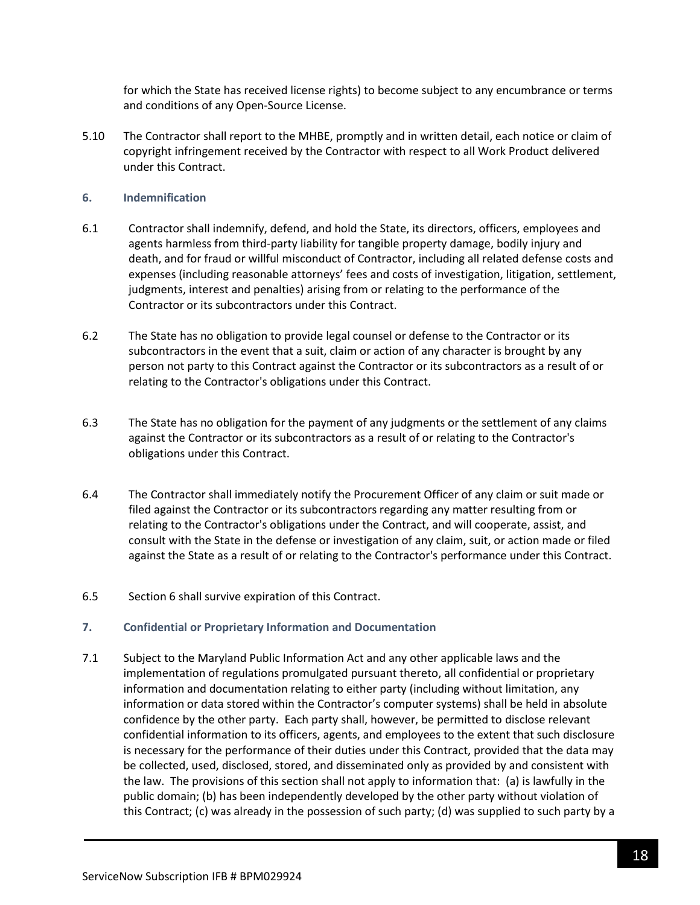for which the State has received license rights) to become subject to any encumbrance or terms and conditions of any Open-Source License.

5.10 The Contractor shall report to the MHBE, promptly and in written detail, each notice or claim of copyright infringement received by the Contractor with respect to all Work Product delivered under this Contract.

### **6. Indemnification**

- 6.1 Contractor shall indemnify, defend, and hold the State, its directors, officers, employees and agents harmless from third-party liability for tangible property damage, bodily injury and death, and for fraud or willful misconduct of Contractor, including all related defense costs and expenses (including reasonable attorneys' fees and costs of investigation, litigation, settlement, judgments, interest and penalties) arising from or relating to the performance of the Contractor or its subcontractors under this Contract.
- 6.2 The State has no obligation to provide legal counsel or defense to the Contractor or its subcontractors in the event that a suit, claim or action of any character is brought by any person not party to this Contract against the Contractor or its subcontractors as a result of or relating to the Contractor's obligations under this Contract.
- 6.3 The State has no obligation for the payment of any judgments or the settlement of any claims against the Contractor or its subcontractors as a result of or relating to the Contractor's obligations under this Contract.
- 6.4 The Contractor shall immediately notify the Procurement Officer of any claim or suit made or filed against the Contractor or its subcontractors regarding any matter resulting from or relating to the Contractor's obligations under the Contract, and will cooperate, assist, and consult with the State in the defense or investigation of any claim, suit, or action made or filed against the State as a result of or relating to the Contractor's performance under this Contract.
- 6.5 Section 6 shall survive expiration of this Contract.

### **7. Confidential or Proprietary Information and Documentation**

7.1 Subject to the Maryland Public Information Act and any other applicable laws and the implementation of regulations promulgated pursuant thereto, all confidential or proprietary information and documentation relating to either party (including without limitation, any information or data stored within the Contractor's computer systems) shall be held in absolute confidence by the other party. Each party shall, however, be permitted to disclose relevant confidential information to its officers, agents, and employees to the extent that such disclosure is necessary for the performance of their duties under this Contract, provided that the data may be collected, used, disclosed, stored, and disseminated only as provided by and consistent with the law. The provisions of this section shall not apply to information that: (a) is lawfully in the public domain; (b) has been independently developed by the other party without violation of this Contract; (c) was already in the possession of such party; (d) was supplied to such party by a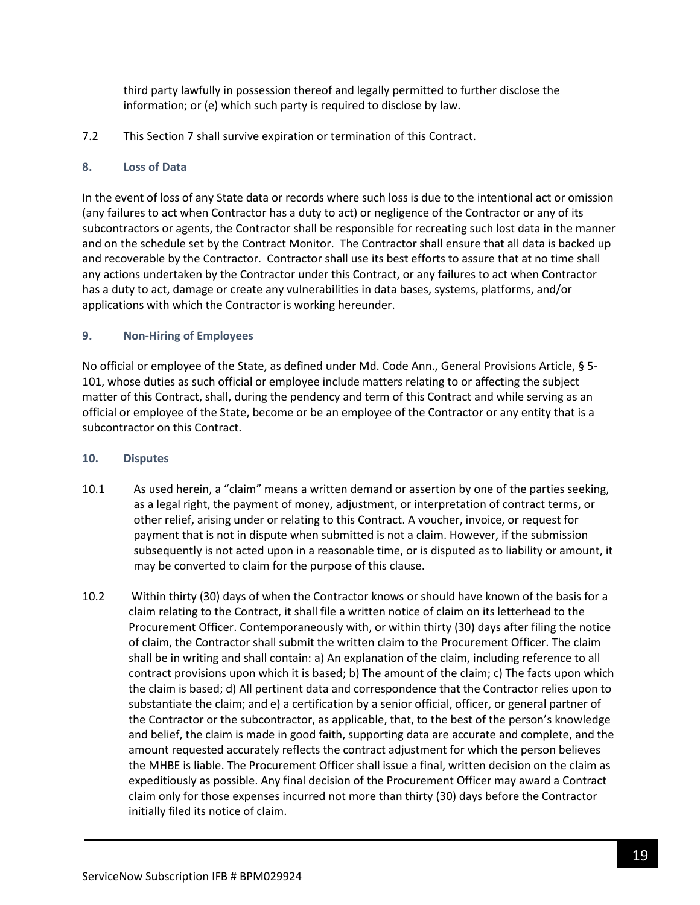third party lawfully in possession thereof and legally permitted to further disclose the information; or (e) which such party is required to disclose by law.

7.2 This Section 7 shall survive expiration or termination of this Contract.

### **8. Loss of Data**

In the event of loss of any State data or records where such loss is due to the intentional act or omission (any failures to act when Contractor has a duty to act) or negligence of the Contractor or any of its subcontractors or agents, the Contractor shall be responsible for recreating such lost data in the manner and on the schedule set by the Contract Monitor. The Contractor shall ensure that all data is backed up and recoverable by the Contractor. Contractor shall use its best efforts to assure that at no time shall any actions undertaken by the Contractor under this Contract, or any failures to act when Contractor has a duty to act, damage or create any vulnerabilities in data bases, systems, platforms, and/or applications with which the Contractor is working hereunder.

### **9. Non-Hiring of Employees**

No official or employee of the State, as defined under Md. Code Ann., General Provisions Article, § 5- 101, whose duties as such official or employee include matters relating to or affecting the subject matter of this Contract, shall, during the pendency and term of this Contract and while serving as an official or employee of the State, become or be an employee of the Contractor or any entity that is a subcontractor on this Contract.

### **10. Disputes**

- 10.1 As used herein, a "claim" means a written demand or assertion by one of the parties seeking, as a legal right, the payment of money, adjustment, or interpretation of contract terms, or other relief, arising under or relating to this Contract. A voucher, invoice, or request for payment that is not in dispute when submitted is not a claim. However, if the submission subsequently is not acted upon in a reasonable time, or is disputed as to liability or amount, it may be converted to claim for the purpose of this clause.
- 10.2 Within thirty (30) days of when the Contractor knows or should have known of the basis for a claim relating to the Contract, it shall file a written notice of claim on its letterhead to the Procurement Officer. Contemporaneously with, or within thirty (30) days after filing the notice of claim, the Contractor shall submit the written claim to the Procurement Officer. The claim shall be in writing and shall contain: a) An explanation of the claim, including reference to all contract provisions upon which it is based; b) The amount of the claim; c) The facts upon which the claim is based; d) All pertinent data and correspondence that the Contractor relies upon to substantiate the claim; and e) a certification by a senior official, officer, or general partner of the Contractor or the subcontractor, as applicable, that, to the best of the person's knowledge and belief, the claim is made in good faith, supporting data are accurate and complete, and the amount requested accurately reflects the contract adjustment for which the person believes the MHBE is liable. The Procurement Officer shall issue a final, written decision on the claim as expeditiously as possible. Any final decision of the Procurement Officer may award a Contract claim only for those expenses incurred not more than thirty (30) days before the Contractor initially filed its notice of claim.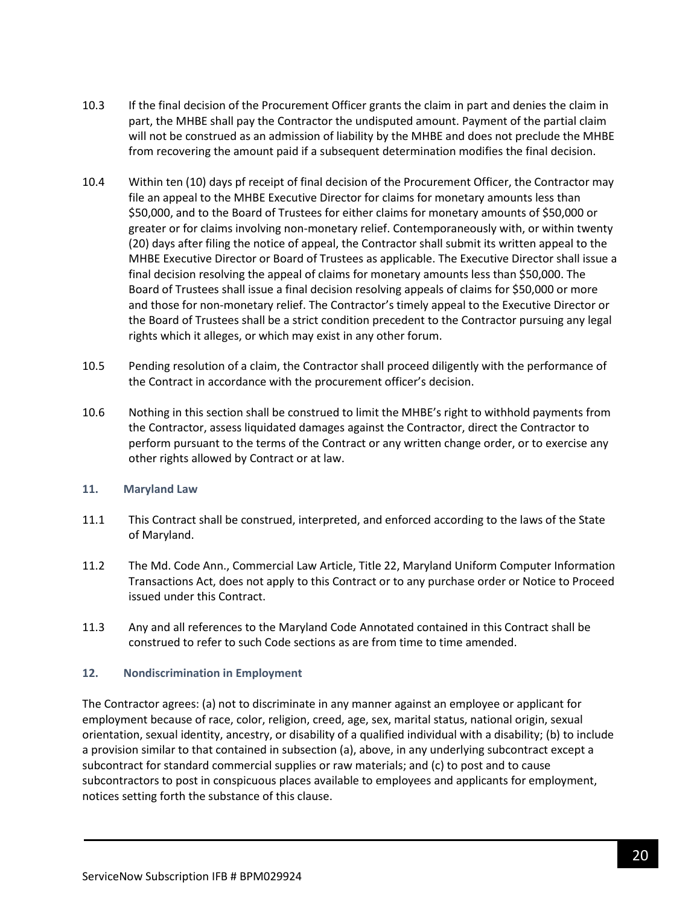- 10.3 If the final decision of the Procurement Officer grants the claim in part and denies the claim in part, the MHBE shall pay the Contractor the undisputed amount. Payment of the partial claim will not be construed as an admission of liability by the MHBE and does not preclude the MHBE from recovering the amount paid if a subsequent determination modifies the final decision.
- 10.4 Within ten (10) days pf receipt of final decision of the Procurement Officer, the Contractor may file an appeal to the MHBE Executive Director for claims for monetary amounts less than \$50,000, and to the Board of Trustees for either claims for monetary amounts of \$50,000 or greater or for claims involving non-monetary relief. Contemporaneously with, or within twenty (20) days after filing the notice of appeal, the Contractor shall submit its written appeal to the MHBE Executive Director or Board of Trustees as applicable. The Executive Director shall issue a final decision resolving the appeal of claims for monetary amounts less than \$50,000. The Board of Trustees shall issue a final decision resolving appeals of claims for \$50,000 or more and those for non-monetary relief. The Contractor's timely appeal to the Executive Director or the Board of Trustees shall be a strict condition precedent to the Contractor pursuing any legal rights which it alleges, or which may exist in any other forum.
- 10.5 Pending resolution of a claim, the Contractor shall proceed diligently with the performance of the Contract in accordance with the procurement officer's decision.
- 10.6 Nothing in this section shall be construed to limit the MHBE's right to withhold payments from the Contractor, assess liquidated damages against the Contractor, direct the Contractor to perform pursuant to the terms of the Contract or any written change order, or to exercise any other rights allowed by Contract or at law.

### **11. Maryland Law**

- 11.1 This Contract shall be construed, interpreted, and enforced according to the laws of the State of Maryland.
- 11.2 The Md. Code Ann., Commercial Law Article, Title 22, Maryland Uniform Computer Information Transactions Act, does not apply to this Contract or to any purchase order or Notice to Proceed issued under this Contract.
- 11.3 Any and all references to the Maryland Code Annotated contained in this Contract shall be construed to refer to such Code sections as are from time to time amended.

### **12. Nondiscrimination in Employment**

The Contractor agrees: (a) not to discriminate in any manner against an employee or applicant for employment because of race, color, religion, creed, age, sex, marital status, national origin, sexual orientation, sexual identity, ancestry, or disability of a qualified individual with a disability; (b) to include a provision similar to that contained in subsection (a), above, in any underlying subcontract except a subcontract for standard commercial supplies or raw materials; and (c) to post and to cause subcontractors to post in conspicuous places available to employees and applicants for employment, notices setting forth the substance of this clause.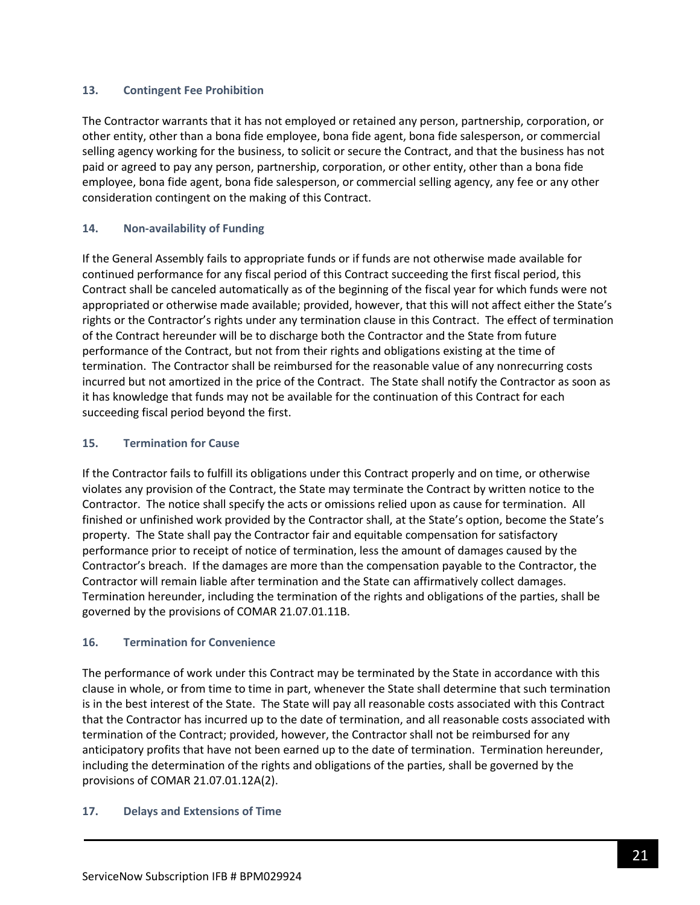### **13. Contingent Fee Prohibition**

The Contractor warrants that it has not employed or retained any person, partnership, corporation, or other entity, other than a bona fide employee, bona fide agent, bona fide salesperson, or commercial selling agency working for the business, to solicit or secure the Contract, and that the business has not paid or agreed to pay any person, partnership, corporation, or other entity, other than a bona fide employee, bona fide agent, bona fide salesperson, or commercial selling agency, any fee or any other consideration contingent on the making of this Contract.

### **14. Non-availability of Funding**

If the General Assembly fails to appropriate funds or if funds are not otherwise made available for continued performance for any fiscal period of this Contract succeeding the first fiscal period, this Contract shall be canceled automatically as of the beginning of the fiscal year for which funds were not appropriated or otherwise made available; provided, however, that this will not affect either the State's rights or the Contractor's rights under any termination clause in this Contract. The effect of termination of the Contract hereunder will be to discharge both the Contractor and the State from future performance of the Contract, but not from their rights and obligations existing at the time of termination. The Contractor shall be reimbursed for the reasonable value of any nonrecurring costs incurred but not amortized in the price of the Contract. The State shall notify the Contractor as soon as it has knowledge that funds may not be available for the continuation of this Contract for each succeeding fiscal period beyond the first.

### **15. Termination for Cause**

If the Contractor fails to fulfill its obligations under this Contract properly and on time, or otherwise violates any provision of the Contract, the State may terminate the Contract by written notice to the Contractor. The notice shall specify the acts or omissions relied upon as cause for termination. All finished or unfinished work provided by the Contractor shall, at the State's option, become the State's property. The State shall pay the Contractor fair and equitable compensation for satisfactory performance prior to receipt of notice of termination, less the amount of damages caused by the Contractor's breach. If the damages are more than the compensation payable to the Contractor, the Contractor will remain liable after termination and the State can affirmatively collect damages. Termination hereunder, including the termination of the rights and obligations of the parties, shall be governed by the provisions of COMAR 21.07.01.11B.

### **16. Termination for Convenience**

The performance of work under this Contract may be terminated by the State in accordance with this clause in whole, or from time to time in part, whenever the State shall determine that such termination is in the best interest of the State. The State will pay all reasonable costs associated with this Contract that the Contractor has incurred up to the date of termination, and all reasonable costs associated with termination of the Contract; provided, however, the Contractor shall not be reimbursed for any anticipatory profits that have not been earned up to the date of termination. Termination hereunder, including the determination of the rights and obligations of the parties, shall be governed by the provisions of COMAR 21.07.01.12A(2).

### **17. Delays and Extensions of Time**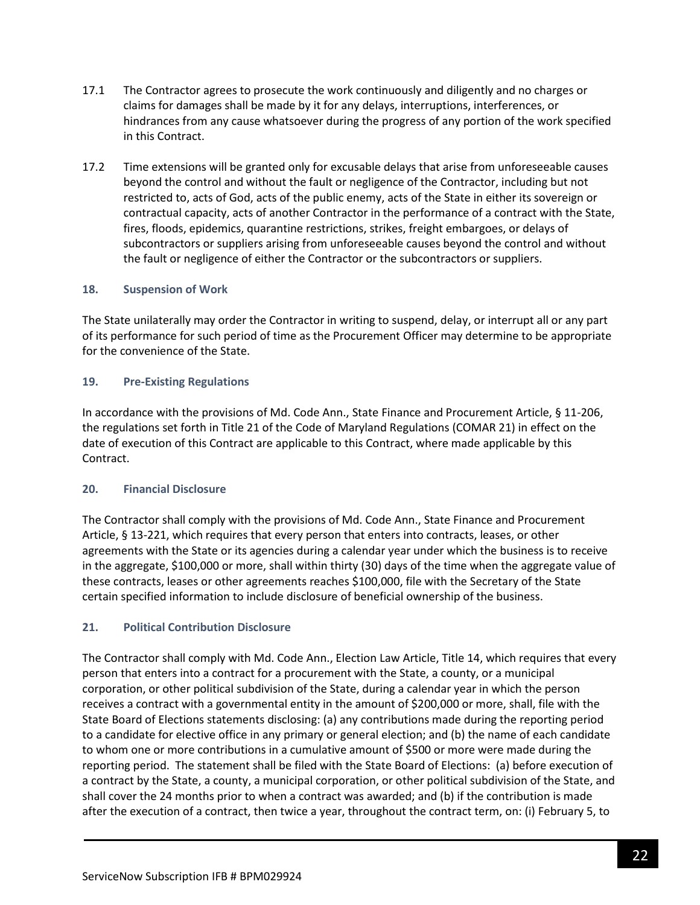- 17.1 The Contractor agrees to prosecute the work continuously and diligently and no charges or claims for damages shall be made by it for any delays, interruptions, interferences, or hindrances from any cause whatsoever during the progress of any portion of the work specified in this Contract.
- 17.2 Time extensions will be granted only for excusable delays that arise from unforeseeable causes beyond the control and without the fault or negligence of the Contractor, including but not restricted to, acts of God, acts of the public enemy, acts of the State in either its sovereign or contractual capacity, acts of another Contractor in the performance of a contract with the State, fires, floods, epidemics, quarantine restrictions, strikes, freight embargoes, or delays of subcontractors or suppliers arising from unforeseeable causes beyond the control and without the fault or negligence of either the Contractor or the subcontractors or suppliers.

### **18. Suspension of Work**

The State unilaterally may order the Contractor in writing to suspend, delay, or interrupt all or any part of its performance for such period of time as the Procurement Officer may determine to be appropriate for the convenience of the State.

### **19. Pre-Existing Regulations**

In accordance with the provisions of Md. Code Ann., State Finance and Procurement Article, § 11-206, the regulations set forth in Title 21 of the Code of Maryland Regulations (COMAR 21) in effect on the date of execution of this Contract are applicable to this Contract, where made applicable by this Contract.

### **20. Financial Disclosure**

The Contractor shall comply with the provisions of Md. Code Ann., State Finance and Procurement Article, § 13-221, which requires that every person that enters into contracts, leases, or other agreements with the State or its agencies during a calendar year under which the business is to receive in the aggregate, \$100,000 or more, shall within thirty (30) days of the time when the aggregate value of these contracts, leases or other agreements reaches \$100,000, file with the Secretary of the State certain specified information to include disclosure of beneficial ownership of the business.

# **21. Political Contribution Disclosure**

The Contractor shall comply with Md. Code Ann., Election Law Article, Title 14, which requires that every person that enters into a contract for a procurement with the State, a county, or a municipal corporation, or other political subdivision of the State, during a calendar year in which the person receives a contract with a governmental entity in the amount of \$200,000 or more, shall, file with the State Board of Elections statements disclosing: (a) any contributions made during the reporting period to a candidate for elective office in any primary or general election; and (b) the name of each candidate to whom one or more contributions in a cumulative amount of \$500 or more were made during the reporting period. The statement shall be filed with the State Board of Elections: (a) before execution of a contract by the State, a county, a municipal corporation, or other political subdivision of the State, and shall cover the 24 months prior to when a contract was awarded; and (b) if the contribution is made after the execution of a contract, then twice a year, throughout the contract term, on: (i) February 5, to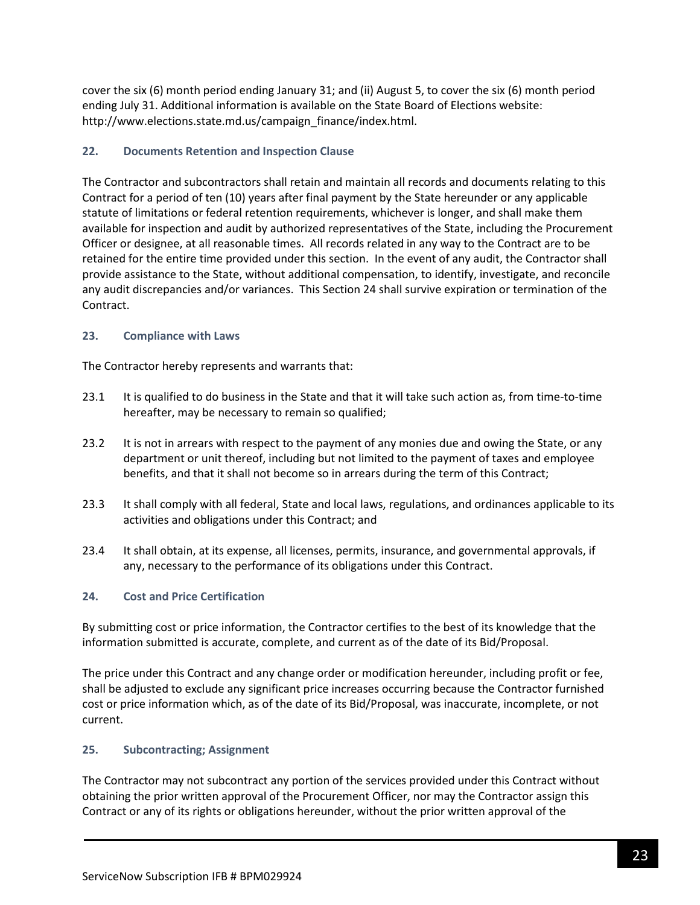cover the six (6) month period ending January 31; and (ii) August 5, to cover the six (6) month period ending July 31. Additional information is available on the State Board of Elections website: http://www.elections.state.md.us/campaign\_finance/index.html.

# **22. Documents Retention and Inspection Clause**

The Contractor and subcontractors shall retain and maintain all records and documents relating to this Contract for a period of ten (10) years after final payment by the State hereunder or any applicable statute of limitations or federal retention requirements, whichever is longer, and shall make them available for inspection and audit by authorized representatives of the State, including the Procurement Officer or designee, at all reasonable times. All records related in any way to the Contract are to be retained for the entire time provided under this section. In the event of any audit, the Contractor shall provide assistance to the State, without additional compensation, to identify, investigate, and reconcile any audit discrepancies and/or variances. This Section 24 shall survive expiration or termination of the Contract.

# **23. Compliance with Laws**

The Contractor hereby represents and warrants that:

- 23.1 It is qualified to do business in the State and that it will take such action as, from time-to-time hereafter, may be necessary to remain so qualified;
- 23.2 It is not in arrears with respect to the payment of any monies due and owing the State, or any department or unit thereof, including but not limited to the payment of taxes and employee benefits, and that it shall not become so in arrears during the term of this Contract;
- 23.3 It shall comply with all federal, State and local laws, regulations, and ordinances applicable to its activities and obligations under this Contract; and
- 23.4 It shall obtain, at its expense, all licenses, permits, insurance, and governmental approvals, if any, necessary to the performance of its obligations under this Contract.

# **24. Cost and Price Certification**

By submitting cost or price information, the Contractor certifies to the best of its knowledge that the information submitted is accurate, complete, and current as of the date of its Bid/Proposal.

The price under this Contract and any change order or modification hereunder, including profit or fee, shall be adjusted to exclude any significant price increases occurring because the Contractor furnished cost or price information which, as of the date of its Bid/Proposal, was inaccurate, incomplete, or not current.

# **25. Subcontracting; Assignment**

The Contractor may not subcontract any portion of the services provided under this Contract without obtaining the prior written approval of the Procurement Officer, nor may the Contractor assign this Contract or any of its rights or obligations hereunder, without the prior written approval of the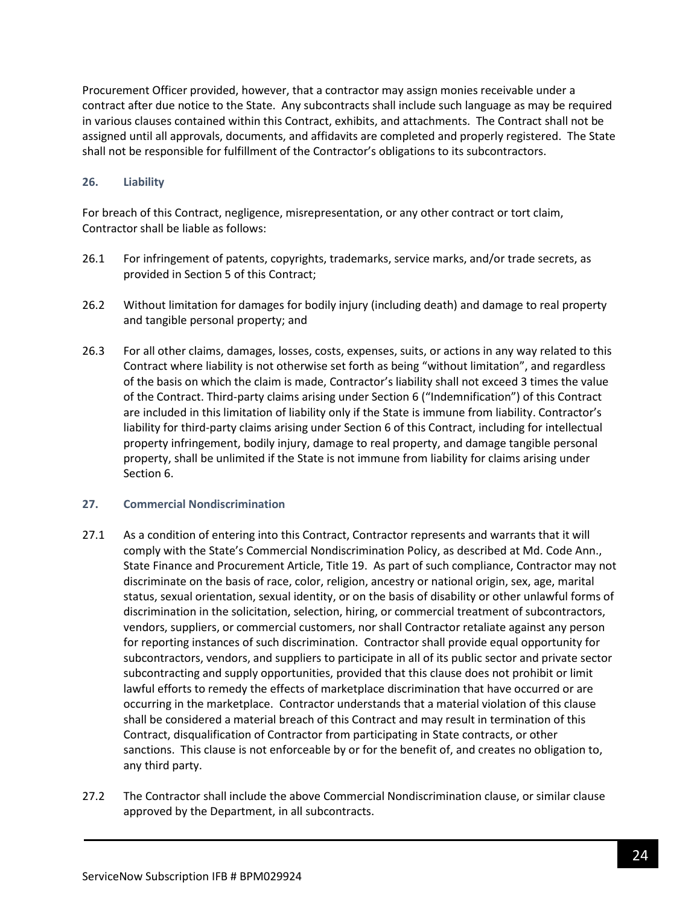Procurement Officer provided, however, that a contractor may assign monies receivable under a contract after due notice to the State. Any subcontracts shall include such language as may be required in various clauses contained within this Contract, exhibits, and attachments. The Contract shall not be assigned until all approvals, documents, and affidavits are completed and properly registered. The State shall not be responsible for fulfillment of the Contractor's obligations to its subcontractors.

### **26. Liability**

For breach of this Contract, negligence, misrepresentation, or any other contract or tort claim, Contractor shall be liable as follows:

- 26.1 For infringement of patents, copyrights, trademarks, service marks, and/or trade secrets, as provided in Section 5 of this Contract;
- 26.2 Without limitation for damages for bodily injury (including death) and damage to real property and tangible personal property; and
- 26.3 For all other claims, damages, losses, costs, expenses, suits, or actions in any way related to this Contract where liability is not otherwise set forth as being "without limitation", and regardless of the basis on which the claim is made, Contractor's liability shall not exceed 3 times the value of the Contract. Third-party claims arising under Section 6 ("Indemnification") of this Contract are included in this limitation of liability only if the State is immune from liability. Contractor's liability for third-party claims arising under Section 6 of this Contract, including for intellectual property infringement, bodily injury, damage to real property, and damage tangible personal property, shall be unlimited if the State is not immune from liability for claims arising under Section 6.

### **27. Commercial Nondiscrimination**

- 27.1 As a condition of entering into this Contract, Contractor represents and warrants that it will comply with the State's Commercial Nondiscrimination Policy, as described at Md. Code Ann., State Finance and Procurement Article, Title 19. As part of such compliance, Contractor may not discriminate on the basis of race, color, religion, ancestry or national origin, sex, age, marital status, sexual orientation, sexual identity, or on the basis of disability or other unlawful forms of discrimination in the solicitation, selection, hiring, or commercial treatment of subcontractors, vendors, suppliers, or commercial customers, nor shall Contractor retaliate against any person for reporting instances of such discrimination. Contractor shall provide equal opportunity for subcontractors, vendors, and suppliers to participate in all of its public sector and private sector subcontracting and supply opportunities, provided that this clause does not prohibit or limit lawful efforts to remedy the effects of marketplace discrimination that have occurred or are occurring in the marketplace. Contractor understands that a material violation of this clause shall be considered a material breach of this Contract and may result in termination of this Contract, disqualification of Contractor from participating in State contracts, or other sanctions. This clause is not enforceable by or for the benefit of, and creates no obligation to, any third party.
- 27.2 The Contractor shall include the above Commercial Nondiscrimination clause, or similar clause approved by the Department, in all subcontracts.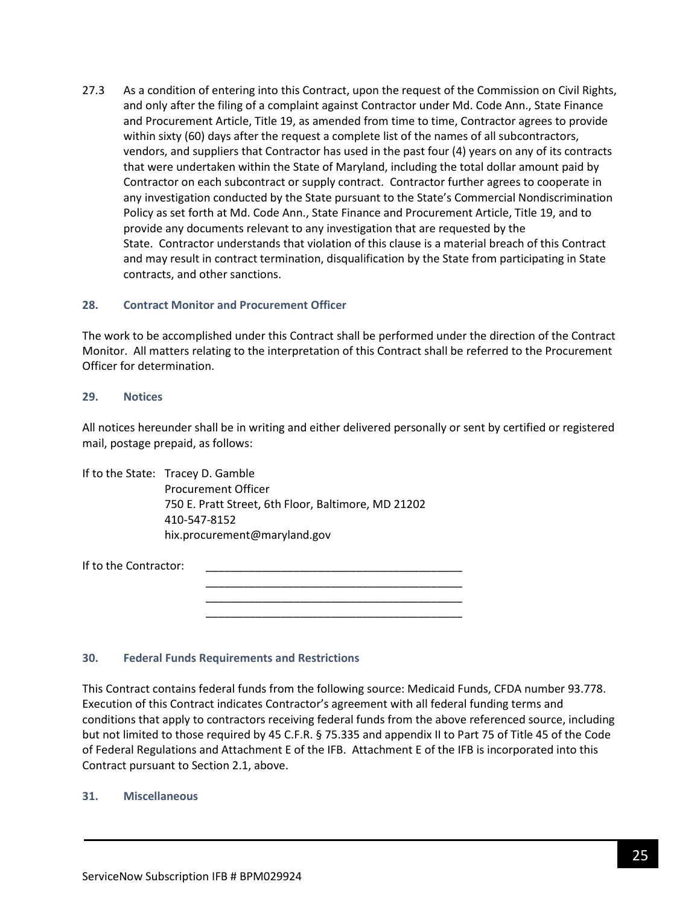27.3 As a condition of entering into this Contract, upon the request of the Commission on Civil Rights, and only after the filing of a complaint against Contractor under Md. Code Ann., State Finance and Procurement Article, Title 19, as amended from time to time, Contractor agrees to provide within sixty (60) days after the request a complete list of the names of all subcontractors, vendors, and suppliers that Contractor has used in the past four (4) years on any of its contracts that were undertaken within the State of Maryland, including the total dollar amount paid by Contractor on each subcontract or supply contract. Contractor further agrees to cooperate in any investigation conducted by the State pursuant to the State's Commercial Nondiscrimination Policy as set forth at Md. Code Ann., State Finance and Procurement Article, Title 19, and to provide any documents relevant to any investigation that are requested by the State. Contractor understands that violation of this clause is a material breach of this Contract and may result in contract termination, disqualification by the State from participating in State contracts, and other sanctions.

#### **28. Contract Monitor and Procurement Officer**

The work to be accomplished under this Contract shall be performed under the direction of the Contract Monitor. All matters relating to the interpretation of this Contract shall be referred to the Procurement Officer for determination.

#### **29. Notices**

All notices hereunder shall be in writing and either delivered personally or sent by certified or registered mail, postage prepaid, as follows:

> \_\_\_\_\_\_\_\_\_\_\_\_\_\_\_\_\_\_\_\_\_\_\_\_\_\_\_\_\_\_\_\_\_\_\_\_\_\_\_\_\_ \_\_\_\_\_\_\_\_\_\_\_\_\_\_\_\_\_\_\_\_\_\_\_\_\_\_\_\_\_\_\_\_\_\_\_\_\_\_\_\_\_ \_\_\_\_\_\_\_\_\_\_\_\_\_\_\_\_\_\_\_\_\_\_\_\_\_\_\_\_\_\_\_\_\_\_\_\_\_\_\_\_\_

If to the State: Tracey D. Gamble Procurement Officer 750 E. Pratt Street, 6th Floor, Baltimore, MD 21202 410-547-8152 hix.procurement@maryland.gov

If to the Contractor:

#### **30. Federal Funds Requirements and Restrictions**

This Contract contains federal funds from the following source: Medicaid Funds, CFDA number 93.778. Execution of this Contract indicates Contractor's agreement with all federal funding terms and conditions that apply to contractors receiving federal funds from the above referenced source, including but not limited to those required by 45 C.F.R. § 75.335 and appendix II to Part 75 of Title 45 of the Code of Federal Regulations and Attachment E of the IFB. Attachment E of the IFB is incorporated into this Contract pursuant to Section 2.1, above.

#### **31. Miscellaneous**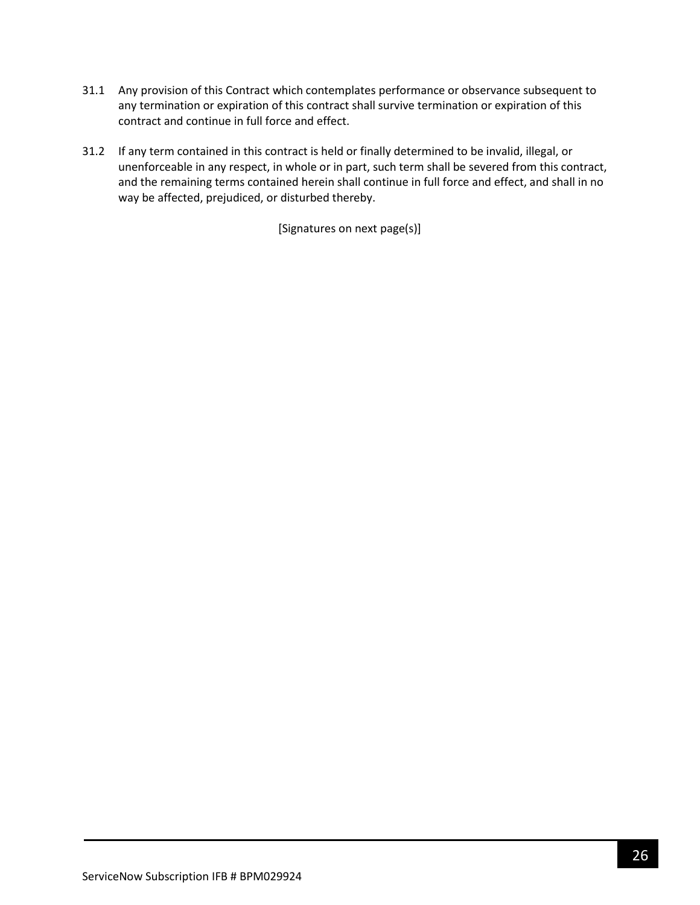- 31.1 Any provision of this Contract which contemplates performance or observance subsequent to any termination or expiration of this contract shall survive termination or expiration of this contract and continue in full force and effect.
- 31.2 If any term contained in this contract is held or finally determined to be invalid, illegal, or unenforceable in any respect, in whole or in part, such term shall be severed from this contract, and the remaining terms contained herein shall continue in full force and effect, and shall in no way be affected, prejudiced, or disturbed thereby.

[Signatures on next page(s)]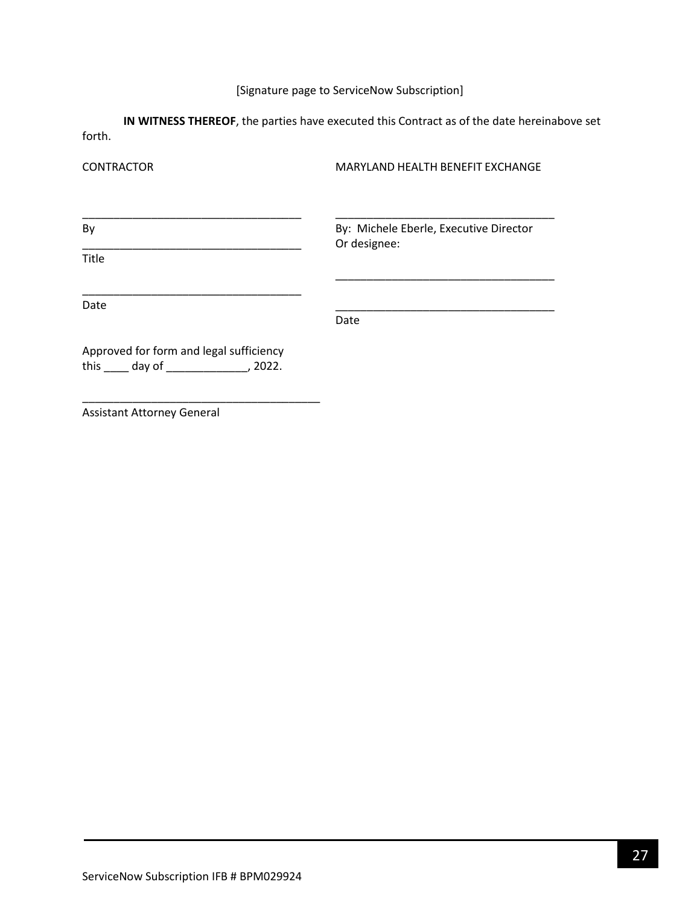# [Signature page to ServiceNow Subscription]

**IN WITNESS THEREOF**, the parties have executed this Contract as of the date hereinabove set forth.

| <b>CONTRACTOR</b>                                                            | MARYLAND HEALTH BENEFIT EXCHANGE       |
|------------------------------------------------------------------------------|----------------------------------------|
| By                                                                           | By: Michele Eberle, Executive Director |
| <b>Title</b>                                                                 | Or designee:                           |
| Date                                                                         | Date                                   |
| Approved for form and legal sufficiency<br>this $\_\_$ day of $\_\_$ , 2022. |                                        |

Assistant Attorney General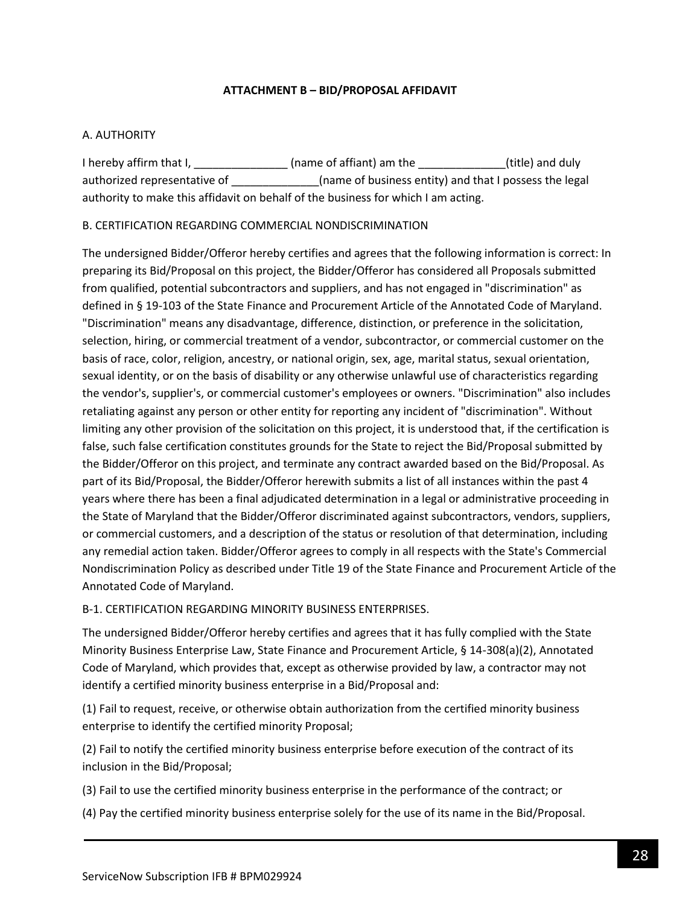### **ATTACHMENT B – BID/PROPOSAL AFFIDAVIT**

### <span id="page-27-0"></span>A. AUTHORITY

I hereby affirm that I, \_\_\_\_\_\_\_\_\_\_\_\_\_\_\_\_\_\_(name of affiant) am the \_\_\_\_\_\_\_\_\_\_\_\_\_\_(title) and duly authorized representative of \_\_\_\_\_\_\_\_\_\_\_\_\_(name of business entity) and that I possess the legal authority to make this affidavit on behalf of the business for which I am acting.

### B. CERTIFICATION REGARDING COMMERCIAL NONDISCRIMINATION

The undersigned Bidder/Offeror hereby certifies and agrees that the following information is correct: In preparing its Bid/Proposal on this project, the Bidder/Offeror has considered all Proposals submitted from qualified, potential subcontractors and suppliers, and has not engaged in "discrimination" as defined in § 19-103 of the State Finance and Procurement Article of the Annotated Code of Maryland. "Discrimination" means any disadvantage, difference, distinction, or preference in the solicitation, selection, hiring, or commercial treatment of a vendor, subcontractor, or commercial customer on the basis of race, color, religion, ancestry, or national origin, sex, age, marital status, sexual orientation, sexual identity, or on the basis of disability or any otherwise unlawful use of characteristics regarding the vendor's, supplier's, or commercial customer's employees or owners. "Discrimination" also includes retaliating against any person or other entity for reporting any incident of "discrimination". Without limiting any other provision of the solicitation on this project, it is understood that, if the certification is false, such false certification constitutes grounds for the State to reject the Bid/Proposal submitted by the Bidder/Offeror on this project, and terminate any contract awarded based on the Bid/Proposal. As part of its Bid/Proposal, the Bidder/Offeror herewith submits a list of all instances within the past 4 years where there has been a final adjudicated determination in a legal or administrative proceeding in the State of Maryland that the Bidder/Offeror discriminated against subcontractors, vendors, suppliers, or commercial customers, and a description of the status or resolution of that determination, including any remedial action taken. Bidder/Offeror agrees to comply in all respects with the State's Commercial Nondiscrimination Policy as described under Title 19 of the State Finance and Procurement Article of the Annotated Code of Maryland.

### B-1. CERTIFICATION REGARDING MINORITY BUSINESS ENTERPRISES.

The undersigned Bidder/Offeror hereby certifies and agrees that it has fully complied with the State Minority Business Enterprise Law, State Finance and Procurement Article, § 14-308(a)(2), Annotated Code of Maryland, which provides that, except as otherwise provided by law, a contractor may not identify a certified minority business enterprise in a Bid/Proposal and:

(1) Fail to request, receive, or otherwise obtain authorization from the certified minority business enterprise to identify the certified minority Proposal;

(2) Fail to notify the certified minority business enterprise before execution of the contract of its inclusion in the Bid/Proposal;

(3) Fail to use the certified minority business enterprise in the performance of the contract; or

(4) Pay the certified minority business enterprise solely for the use of its name in the Bid/Proposal.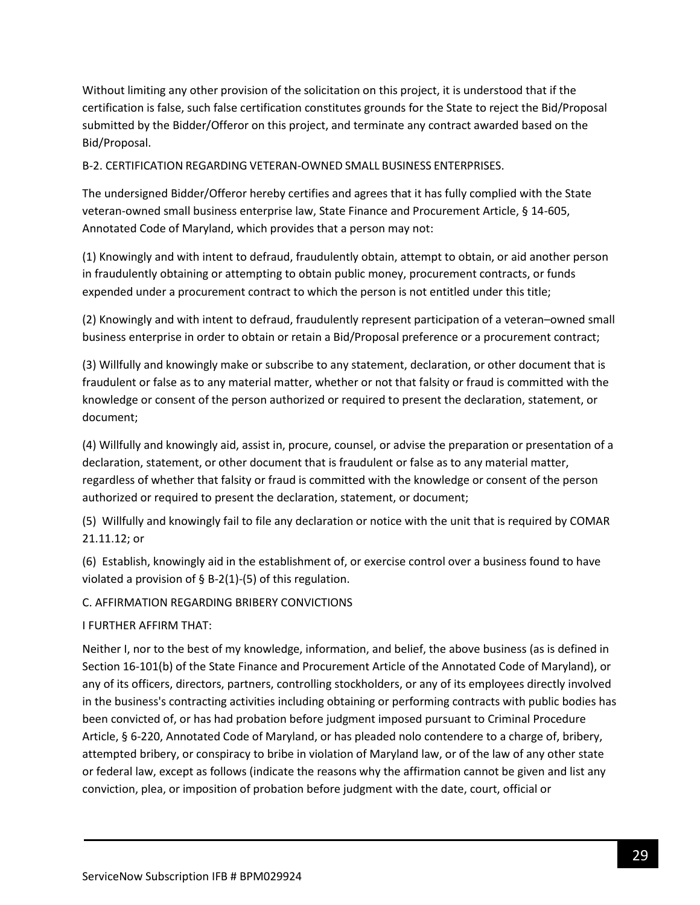Without limiting any other provision of the solicitation on this project, it is understood that if the certification is false, such false certification constitutes grounds for the State to reject the Bid/Proposal submitted by the Bidder/Offeror on this project, and terminate any contract awarded based on the Bid/Proposal.

B-2. CERTIFICATION REGARDING VETERAN-OWNED SMALL BUSINESS ENTERPRISES.

The undersigned Bidder/Offeror hereby certifies and agrees that it has fully complied with the State veteran-owned small business enterprise law, State Finance and Procurement Article, § 14-605, Annotated Code of Maryland, which provides that a person may not:

(1) Knowingly and with intent to defraud, fraudulently obtain, attempt to obtain, or aid another person in fraudulently obtaining or attempting to obtain public money, procurement contracts, or funds expended under a procurement contract to which the person is not entitled under this title;

(2) Knowingly and with intent to defraud, fraudulently represent participation of a veteran–owned small business enterprise in order to obtain or retain a Bid/Proposal preference or a procurement contract;

(3) Willfully and knowingly make or subscribe to any statement, declaration, or other document that is fraudulent or false as to any material matter, whether or not that falsity or fraud is committed with the knowledge or consent of the person authorized or required to present the declaration, statement, or document;

(4) Willfully and knowingly aid, assist in, procure, counsel, or advise the preparation or presentation of a declaration, statement, or other document that is fraudulent or false as to any material matter, regardless of whether that falsity or fraud is committed with the knowledge or consent of the person authorized or required to present the declaration, statement, or document;

(5) Willfully and knowingly fail to file any declaration or notice with the unit that is required by COMAR 21.11.12; or

(6) Establish, knowingly aid in the establishment of, or exercise control over a business found to have violated a provision of  $\S$  B-2(1)-(5) of this regulation.

C. AFFIRMATION REGARDING BRIBERY CONVICTIONS

I FURTHER AFFIRM THAT:

Neither I, nor to the best of my knowledge, information, and belief, the above business (as is defined in Section 16-101(b) of the State Finance and Procurement Article of the Annotated Code of Maryland), or any of its officers, directors, partners, controlling stockholders, or any of its employees directly involved in the business's contracting activities including obtaining or performing contracts with public bodies has been convicted of, or has had probation before judgment imposed pursuant to Criminal Procedure Article, § 6-220, Annotated Code of Maryland, or has pleaded nolo contendere to a charge of, bribery, attempted bribery, or conspiracy to bribe in violation of Maryland law, or of the law of any other state or federal law, except as follows (indicate the reasons why the affirmation cannot be given and list any conviction, plea, or imposition of probation before judgment with the date, court, official or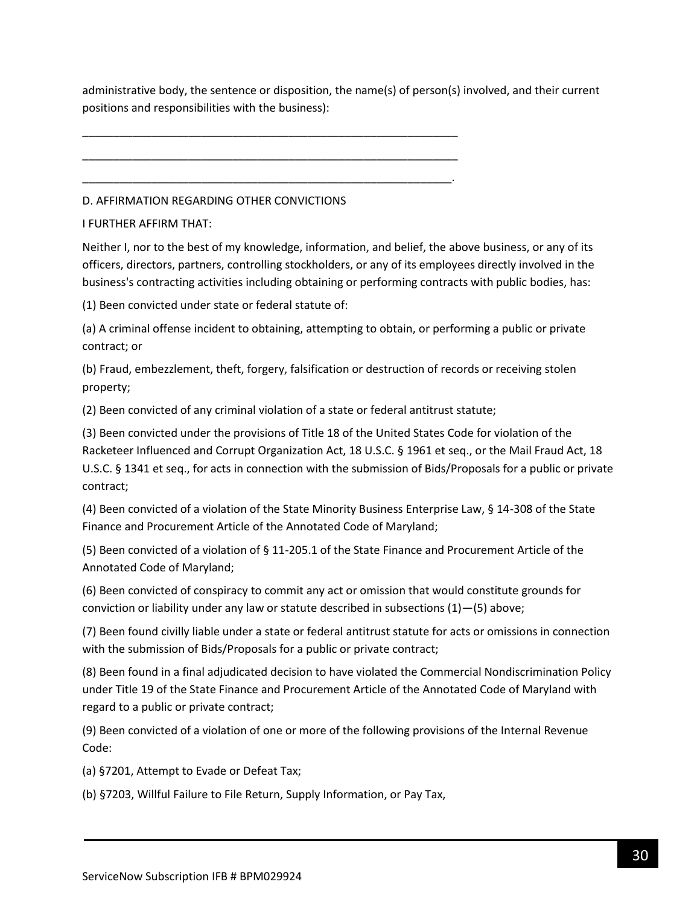administrative body, the sentence or disposition, the name(s) of person(s) involved, and their current positions and responsibilities with the business):

D. AFFIRMATION REGARDING OTHER CONVICTIONS

\_\_\_\_\_\_\_\_\_\_\_\_\_\_\_\_\_\_\_\_\_\_\_\_\_\_\_\_\_\_\_\_\_\_\_\_\_\_\_\_\_\_\_\_\_\_\_\_\_\_\_\_\_\_\_\_\_\_\_\_

\_\_\_\_\_\_\_\_\_\_\_\_\_\_\_\_\_\_\_\_\_\_\_\_\_\_\_\_\_\_\_\_\_\_\_\_\_\_\_\_\_\_\_\_\_\_\_\_\_\_\_\_\_\_\_\_\_\_\_\_

\_\_\_\_\_\_\_\_\_\_\_\_\_\_\_\_\_\_\_\_\_\_\_\_\_\_\_\_\_\_\_\_\_\_\_\_\_\_\_\_\_\_\_\_\_\_\_\_\_\_\_\_\_\_\_\_\_\_\_.

I FURTHER AFFIRM THAT:

Neither I, nor to the best of my knowledge, information, and belief, the above business, or any of its officers, directors, partners, controlling stockholders, or any of its employees directly involved in the business's contracting activities including obtaining or performing contracts with public bodies, has:

(1) Been convicted under state or federal statute of:

(a) A criminal offense incident to obtaining, attempting to obtain, or performing a public or private contract; or

(b) Fraud, embezzlement, theft, forgery, falsification or destruction of records or receiving stolen property;

(2) Been convicted of any criminal violation of a state or federal antitrust statute;

(3) Been convicted under the provisions of Title 18 of the United States Code for violation of the Racketeer Influenced and Corrupt Organization Act, 18 U.S.C. § 1961 et seq., or the Mail Fraud Act, 18 U.S.C. § 1341 et seq., for acts in connection with the submission of Bids/Proposals for a public or private contract;

(4) Been convicted of a violation of the State Minority Business Enterprise Law, § 14-308 of the State Finance and Procurement Article of the Annotated Code of Maryland;

(5) Been convicted of a violation of § 11-205.1 of the State Finance and Procurement Article of the Annotated Code of Maryland;

(6) Been convicted of conspiracy to commit any act or omission that would constitute grounds for conviction or liability under any law or statute described in subsections (1)—(5) above;

(7) Been found civilly liable under a state or federal antitrust statute for acts or omissions in connection with the submission of Bids/Proposals for a public or private contract;

(8) Been found in a final adjudicated decision to have violated the Commercial Nondiscrimination Policy under Title 19 of the State Finance and Procurement Article of the Annotated Code of Maryland with regard to a public or private contract;

(9) Been convicted of a violation of one or more of the following provisions of the Internal Revenue Code:

(a) §7201, Attempt to Evade or Defeat Tax;

(b) §7203, Willful Failure to File Return, Supply Information, or Pay Tax,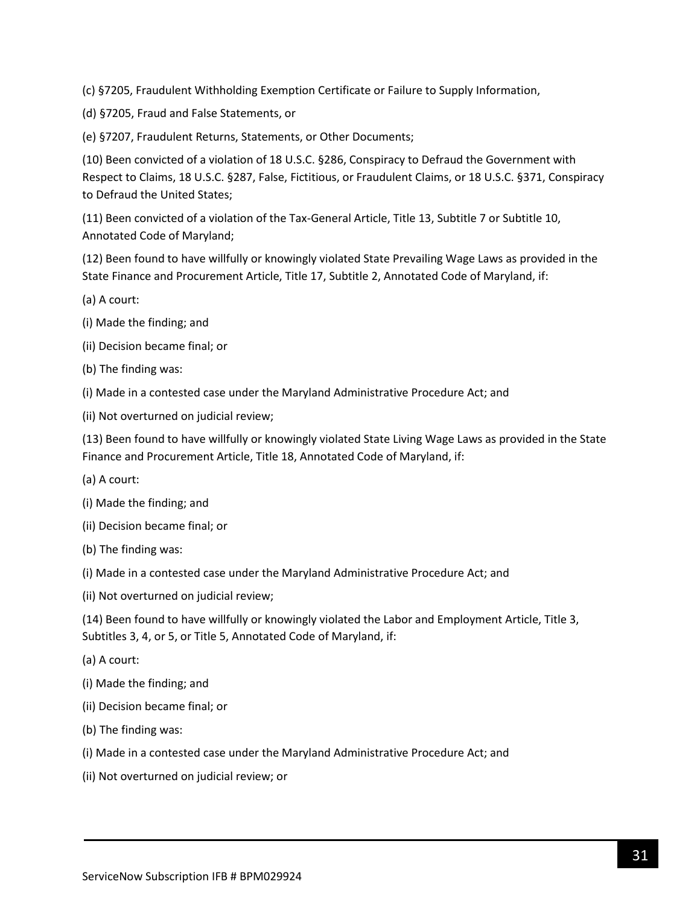(c) §7205, Fraudulent Withholding Exemption Certificate or Failure to Supply Information,

(d) §7205, Fraud and False Statements, or

(e) §7207, Fraudulent Returns, Statements, or Other Documents;

(10) Been convicted of a violation of 18 U.S.C. §286, Conspiracy to Defraud the Government with Respect to Claims, 18 U.S.C. §287, False, Fictitious, or Fraudulent Claims, or 18 U.S.C. §371, Conspiracy to Defraud the United States;

(11) Been convicted of a violation of the Tax-General Article, Title 13, Subtitle 7 or Subtitle 10, Annotated Code of Maryland;

(12) Been found to have willfully or knowingly violated State Prevailing Wage Laws as provided in the State Finance and Procurement Article, Title 17, Subtitle 2, Annotated Code of Maryland, if:

- (a) A court:
- (i) Made the finding; and
- (ii) Decision became final; or
- (b) The finding was:
- (i) Made in a contested case under the Maryland Administrative Procedure Act; and
- (ii) Not overturned on judicial review;

(13) Been found to have willfully or knowingly violated State Living Wage Laws as provided in the State Finance and Procurement Article, Title 18, Annotated Code of Maryland, if:

- (a) A court:
- (i) Made the finding; and
- (ii) Decision became final; or
- (b) The finding was:
- (i) Made in a contested case under the Maryland Administrative Procedure Act; and
- (ii) Not overturned on judicial review;

(14) Been found to have willfully or knowingly violated the Labor and Employment Article, Title 3, Subtitles 3, 4, or 5, or Title 5, Annotated Code of Maryland, if:

- (a) A court:
- (i) Made the finding; and
- (ii) Decision became final; or
- (b) The finding was:
- (i) Made in a contested case under the Maryland Administrative Procedure Act; and
- (ii) Not overturned on judicial review; or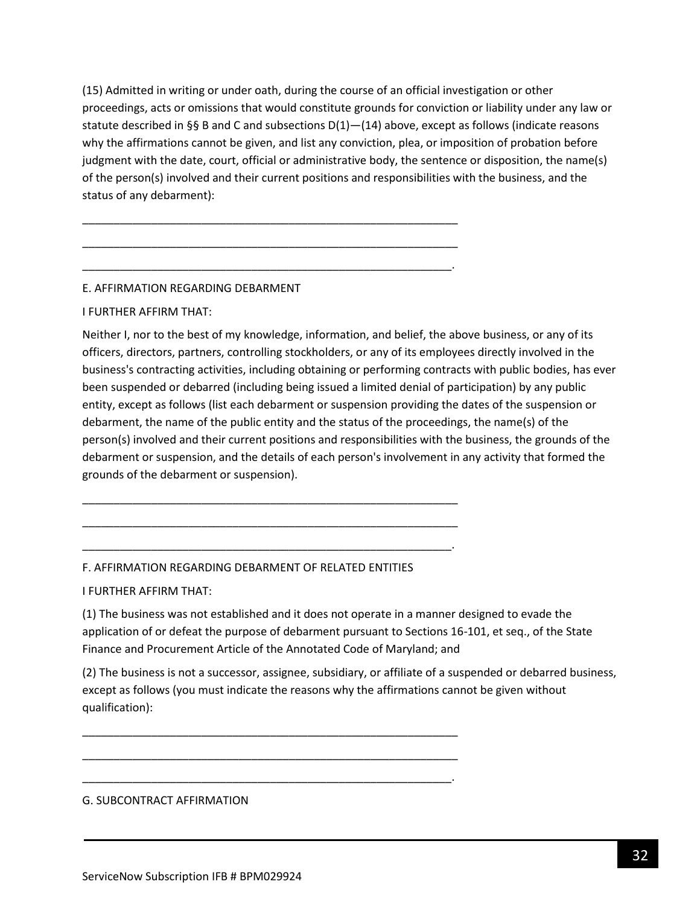(15) Admitted in writing or under oath, during the course of an official investigation or other proceedings, acts or omissions that would constitute grounds for conviction or liability under any law or statute described in §§ B and C and subsections  $D(1)$ — $(14)$  above, except as follows (indicate reasons why the affirmations cannot be given, and list any conviction, plea, or imposition of probation before judgment with the date, court, official or administrative body, the sentence or disposition, the name(s) of the person(s) involved and their current positions and responsibilities with the business, and the status of any debarment):

\_\_\_\_\_\_\_\_\_\_\_\_\_\_\_\_\_\_\_\_\_\_\_\_\_\_\_\_\_\_\_\_\_\_\_\_\_\_\_\_\_\_\_\_\_\_\_\_\_\_\_\_\_\_\_\_\_\_\_\_

\_\_\_\_\_\_\_\_\_\_\_\_\_\_\_\_\_\_\_\_\_\_\_\_\_\_\_\_\_\_\_\_\_\_\_\_\_\_\_\_\_\_\_\_\_\_\_\_\_\_\_\_\_\_\_\_\_\_\_\_

\_\_\_\_\_\_\_\_\_\_\_\_\_\_\_\_\_\_\_\_\_\_\_\_\_\_\_\_\_\_\_\_\_\_\_\_\_\_\_\_\_\_\_\_\_\_\_\_\_\_\_\_\_\_\_\_\_\_\_.

### E. AFFIRMATION REGARDING DEBARMENT

### I FURTHER AFFIRM THAT:

Neither I, nor to the best of my knowledge, information, and belief, the above business, or any of its officers, directors, partners, controlling stockholders, or any of its employees directly involved in the business's contracting activities, including obtaining or performing contracts with public bodies, has ever been suspended or debarred (including being issued a limited denial of participation) by any public entity, except as follows (list each debarment or suspension providing the dates of the suspension or debarment, the name of the public entity and the status of the proceedings, the name(s) of the person(s) involved and their current positions and responsibilities with the business, the grounds of the debarment or suspension, and the details of each person's involvement in any activity that formed the grounds of the debarment or suspension).

### F. AFFIRMATION REGARDING DEBARMENT OF RELATED ENTITIES

\_\_\_\_\_\_\_\_\_\_\_\_\_\_\_\_\_\_\_\_\_\_\_\_\_\_\_\_\_\_\_\_\_\_\_\_\_\_\_\_\_\_\_\_\_\_\_\_\_\_\_\_\_\_\_\_\_\_\_\_

\_\_\_\_\_\_\_\_\_\_\_\_\_\_\_\_\_\_\_\_\_\_\_\_\_\_\_\_\_\_\_\_\_\_\_\_\_\_\_\_\_\_\_\_\_\_\_\_\_\_\_\_\_\_\_\_\_\_\_\_

\_\_\_\_\_\_\_\_\_\_\_\_\_\_\_\_\_\_\_\_\_\_\_\_\_\_\_\_\_\_\_\_\_\_\_\_\_\_\_\_\_\_\_\_\_\_\_\_\_\_\_\_\_\_\_\_\_\_\_.

\_\_\_\_\_\_\_\_\_\_\_\_\_\_\_\_\_\_\_\_\_\_\_\_\_\_\_\_\_\_\_\_\_\_\_\_\_\_\_\_\_\_\_\_\_\_\_\_\_\_\_\_\_\_\_\_\_\_\_\_

\_\_\_\_\_\_\_\_\_\_\_\_\_\_\_\_\_\_\_\_\_\_\_\_\_\_\_\_\_\_\_\_\_\_\_\_\_\_\_\_\_\_\_\_\_\_\_\_\_\_\_\_\_\_\_\_\_\_\_\_

\_\_\_\_\_\_\_\_\_\_\_\_\_\_\_\_\_\_\_\_\_\_\_\_\_\_\_\_\_\_\_\_\_\_\_\_\_\_\_\_\_\_\_\_\_\_\_\_\_\_\_\_\_\_\_\_\_\_\_.

I FURTHER AFFIRM THAT:

(1) The business was not established and it does not operate in a manner designed to evade the application of or defeat the purpose of debarment pursuant to Sections 16-101, et seq., of the State Finance and Procurement Article of the Annotated Code of Maryland; and

(2) The business is not a successor, assignee, subsidiary, or affiliate of a suspended or debarred business, except as follows (you must indicate the reasons why the affirmations cannot be given without qualification):

### G. SUBCONTRACT AFFIRMATION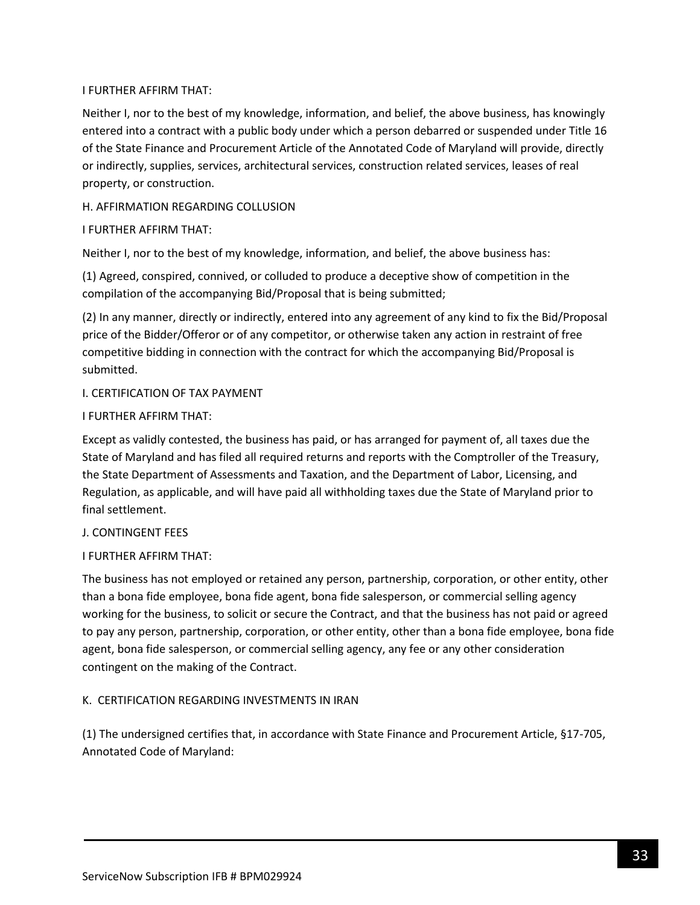### I FURTHER AFFIRM THAT:

Neither I, nor to the best of my knowledge, information, and belief, the above business, has knowingly entered into a contract with a public body under which a person debarred or suspended under Title 16 of the State Finance and Procurement Article of the Annotated Code of Maryland will provide, directly or indirectly, supplies, services, architectural services, construction related services, leases of real property, or construction.

### H. AFFIRMATION REGARDING COLLUSION

### I FURTHER AFFIRM THAT:

Neither I, nor to the best of my knowledge, information, and belief, the above business has:

(1) Agreed, conspired, connived, or colluded to produce a deceptive show of competition in the compilation of the accompanying Bid/Proposal that is being submitted;

(2) In any manner, directly or indirectly, entered into any agreement of any kind to fix the Bid/Proposal price of the Bidder/Offeror or of any competitor, or otherwise taken any action in restraint of free competitive bidding in connection with the contract for which the accompanying Bid/Proposal is submitted.

### I. CERTIFICATION OF TAX PAYMENT

### I FURTHER AFFIRM THAT:

Except as validly contested, the business has paid, or has arranged for payment of, all taxes due the State of Maryland and has filed all required returns and reports with the Comptroller of the Treasury, the State Department of Assessments and Taxation, and the Department of Labor, Licensing, and Regulation, as applicable, and will have paid all withholding taxes due the State of Maryland prior to final settlement.

### J. CONTINGENT FEES

# I FURTHER AFFIRM THAT:

The business has not employed or retained any person, partnership, corporation, or other entity, other than a bona fide employee, bona fide agent, bona fide salesperson, or commercial selling agency working for the business, to solicit or secure the Contract, and that the business has not paid or agreed to pay any person, partnership, corporation, or other entity, other than a bona fide employee, bona fide agent, bona fide salesperson, or commercial selling agency, any fee or any other consideration contingent on the making of the Contract.

# K. CERTIFICATION REGARDING INVESTMENTS IN IRAN

(1) The undersigned certifies that, in accordance with State Finance and Procurement Article, §17-705, Annotated Code of Maryland: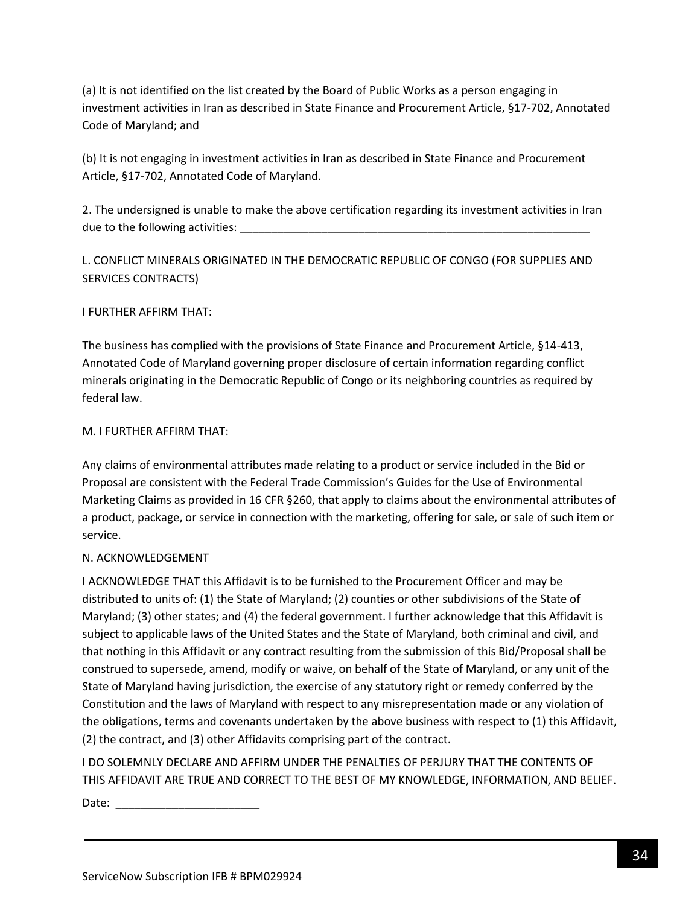(a) It is not identified on the list created by the Board of Public Works as a person engaging in investment activities in Iran as described in State Finance and Procurement Article, §17-702, Annotated Code of Maryland; and

(b) It is not engaging in investment activities in Iran as described in State Finance and Procurement Article, §17-702, Annotated Code of Maryland.

2. The undersigned is unable to make the above certification regarding its investment activities in Iran due to the following activities:

L. CONFLICT MINERALS ORIGINATED IN THE DEMOCRATIC REPUBLIC OF CONGO (FOR SUPPLIES AND SERVICES CONTRACTS)

# I FURTHER AFFIRM THAT:

The business has complied with the provisions of State Finance and Procurement Article, §14-413, Annotated Code of Maryland governing proper disclosure of certain information regarding conflict minerals originating in the Democratic Republic of Congo or its neighboring countries as required by federal law.

### M. I FURTHER AFFIRM THAT:

Any claims of environmental attributes made relating to a product or service included in the Bid or Proposal are consistent with the Federal Trade Commission's Guides for the Use of Environmental Marketing Claims as provided in 16 CFR §260, that apply to claims about the environmental attributes of a product, package, or service in connection with the marketing, offering for sale, or sale of such item or service.

# N. ACKNOWLEDGEMENT

I ACKNOWLEDGE THAT this Affidavit is to be furnished to the Procurement Officer and may be distributed to units of: (1) the State of Maryland; (2) counties or other subdivisions of the State of Maryland; (3) other states; and (4) the federal government. I further acknowledge that this Affidavit is subject to applicable laws of the United States and the State of Maryland, both criminal and civil, and that nothing in this Affidavit or any contract resulting from the submission of this Bid/Proposal shall be construed to supersede, amend, modify or waive, on behalf of the State of Maryland, or any unit of the State of Maryland having jurisdiction, the exercise of any statutory right or remedy conferred by the Constitution and the laws of Maryland with respect to any misrepresentation made or any violation of the obligations, terms and covenants undertaken by the above business with respect to (1) this Affidavit, (2) the contract, and (3) other Affidavits comprising part of the contract.

I DO SOLEMNLY DECLARE AND AFFIRM UNDER THE PENALTIES OF PERJURY THAT THE CONTENTS OF THIS AFFIDAVIT ARE TRUE AND CORRECT TO THE BEST OF MY KNOWLEDGE, INFORMATION, AND BELIEF.

Date:  $\frac{1}{\sqrt{1-\frac{1}{2}}}$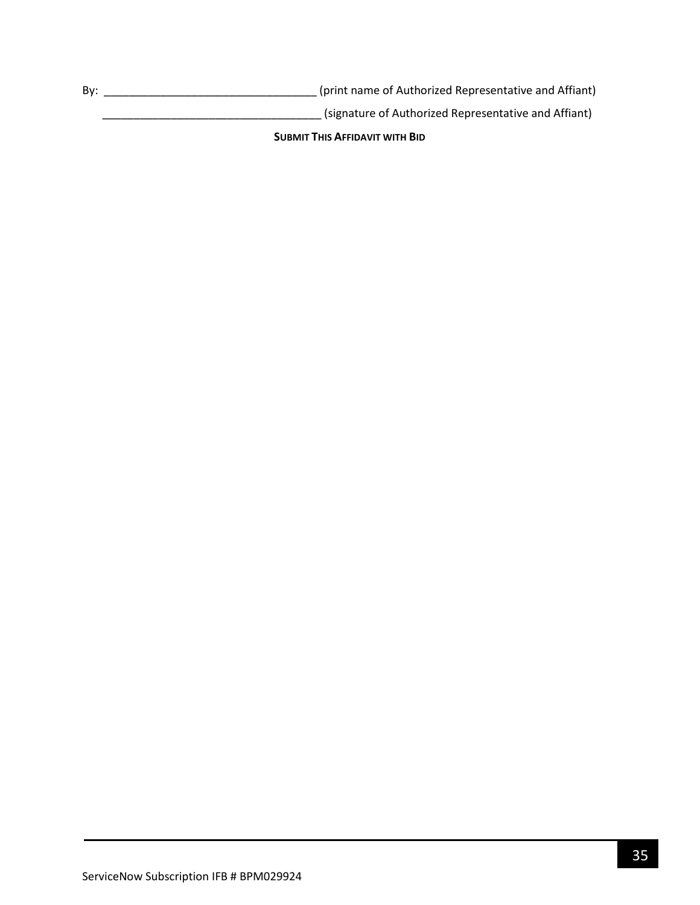By: \_\_\_\_\_\_\_\_\_\_\_\_\_\_\_\_\_\_\_\_\_\_\_\_\_\_\_\_\_\_\_\_\_\_ (print name of Authorized Representative and Affiant)

\_\_\_\_\_\_\_\_\_\_\_\_\_\_\_\_\_\_\_\_\_\_\_\_\_\_\_\_\_\_\_\_\_\_\_ (signature of Authorized Representative and Affiant)

**SUBMIT THIS AFFIDAVIT WITH BID**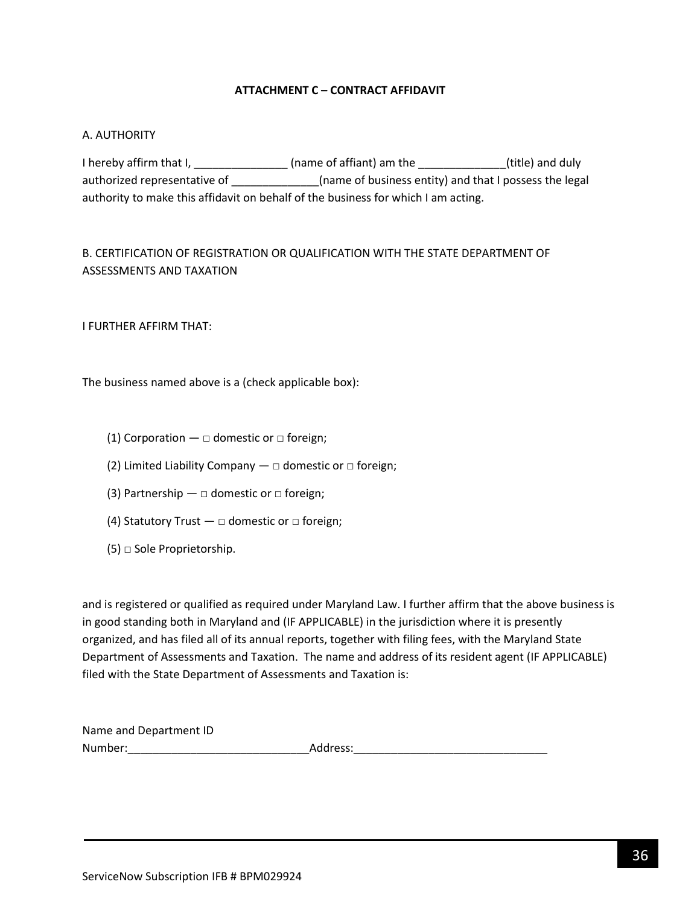### **ATTACHMENT C – CONTRACT AFFIDAVIT**

### <span id="page-35-0"></span>A. AUTHORITY

I hereby affirm that I, \_\_\_\_\_\_\_\_\_\_\_\_\_\_\_\_\_ (name of affiant) am the \_\_\_\_\_\_\_\_\_\_\_\_\_\_\_(title) and duly authorized representative of \_\_\_\_\_\_\_\_\_\_\_\_\_\_\_\_(name of business entity) and that I possess the legal authority to make this affidavit on behalf of the business for which I am acting.

# B. CERTIFICATION OF REGISTRATION OR QUALIFICATION WITH THE STATE DEPARTMENT OF ASSESSMENTS AND TAXATION

I FURTHER AFFIRM THAT:

The business named above is a (check applicable box):

- (1) Corporation  $\Box$  domestic or  $\Box$  foreign;
- (2) Limited Liability Company  $-\Box$  domestic or  $\Box$  foreign;
- (3) Partnership  $\Box$  domestic or  $\Box$  foreign;
- (4) Statutory Trust  $\Box$  domestic or  $\Box$  foreign;
- $(5)$   $\Box$  Sole Proprietorship.

and is registered or qualified as required under Maryland Law. I further affirm that the above business is in good standing both in Maryland and (IF APPLICABLE) in the jurisdiction where it is presently organized, and has filed all of its annual reports, together with filing fees, with the Maryland State Department of Assessments and Taxation. The name and address of its resident agent (IF APPLICABLE) filed with the State Department of Assessments and Taxation is:

| Name and Department ID |          |
|------------------------|----------|
| Number:                | Address: |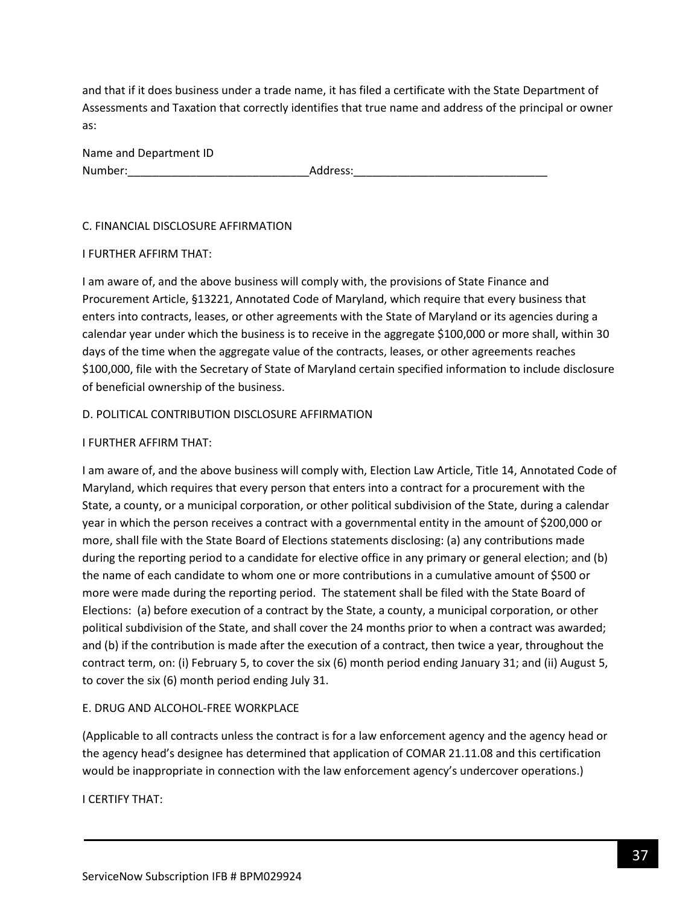and that if it does business under a trade name, it has filed a certificate with the State Department of Assessments and Taxation that correctly identifies that true name and address of the principal or owner as:

| Name and Department ID |          |
|------------------------|----------|
| Number:                | Address: |

### C. FINANCIAL DISCLOSURE AFFIRMATION

### I FURTHER AFFIRM THAT:

I am aware of, and the above business will comply with, the provisions of State Finance and Procurement Article, §13221, Annotated Code of Maryland, which require that every business that enters into contracts, leases, or other agreements with the State of Maryland or its agencies during a calendar year under which the business is to receive in the aggregate \$100,000 or more shall, within 30 days of the time when the aggregate value of the contracts, leases, or other agreements reaches \$100,000, file with the Secretary of State of Maryland certain specified information to include disclosure of beneficial ownership of the business.

### D. POLITICAL CONTRIBUTION DISCLOSURE AFFIRMATION

### I FURTHER AFFIRM THAT:

I am aware of, and the above business will comply with, Election Law Article, Title 14, Annotated Code of Maryland, which requires that every person that enters into a contract for a procurement with the State, a county, or a municipal corporation, or other political subdivision of the State, during a calendar year in which the person receives a contract with a governmental entity in the amount of \$200,000 or more, shall file with the State Board of Elections statements disclosing: (a) any contributions made during the reporting period to a candidate for elective office in any primary or general election; and (b) the name of each candidate to whom one or more contributions in a cumulative amount of \$500 or more were made during the reporting period. The statement shall be filed with the State Board of Elections: (a) before execution of a contract by the State, a county, a municipal corporation, or other political subdivision of the State, and shall cover the 24 months prior to when a contract was awarded; and (b) if the contribution is made after the execution of a contract, then twice a year, throughout the contract term, on: (i) February 5, to cover the six (6) month period ending January 31; and (ii) August 5, to cover the six (6) month period ending July 31.

# E. DRUG AND ALCOHOL-FREE WORKPLACE

(Applicable to all contracts unless the contract is for a law enforcement agency and the agency head or the agency head's designee has determined that application of COMAR 21.11.08 and this certification would be inappropriate in connection with the law enforcement agency's undercover operations.)

I CERTIFY THAT: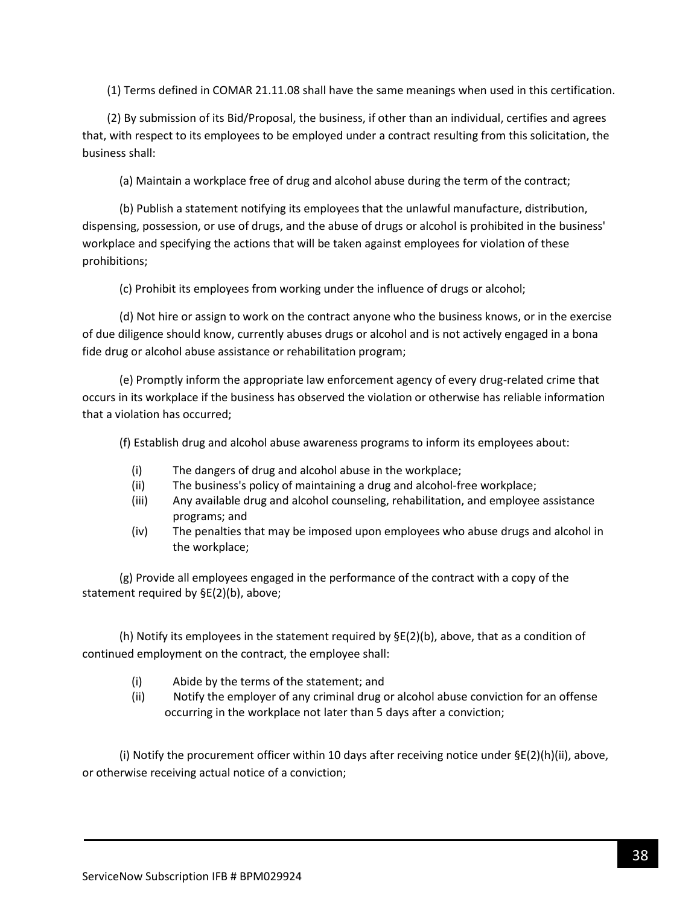(1) Terms defined in COMAR 21.11.08 shall have the same meanings when used in this certification.

(2) By submission of its Bid/Proposal, the business, if other than an individual, certifies and agrees that, with respect to its employees to be employed under a contract resulting from this solicitation, the business shall:

(a) Maintain a workplace free of drug and alcohol abuse during the term of the contract;

(b) Publish a statement notifying its employees that the unlawful manufacture, distribution, dispensing, possession, or use of drugs, and the abuse of drugs or alcohol is prohibited in the business' workplace and specifying the actions that will be taken against employees for violation of these prohibitions;

(c) Prohibit its employees from working under the influence of drugs or alcohol;

(d) Not hire or assign to work on the contract anyone who the business knows, or in the exercise of due diligence should know, currently abuses drugs or alcohol and is not actively engaged in a bona fide drug or alcohol abuse assistance or rehabilitation program;

(e) Promptly inform the appropriate law enforcement agency of every drug-related crime that occurs in its workplace if the business has observed the violation or otherwise has reliable information that a violation has occurred;

(f) Establish drug and alcohol abuse awareness programs to inform its employees about:

- (i) The dangers of drug and alcohol abuse in the workplace;
- (ii) The business's policy of maintaining a drug and alcohol-free workplace;
- (iii) Any available drug and alcohol counseling, rehabilitation, and employee assistance programs; and
- (iv) The penalties that may be imposed upon employees who abuse drugs and alcohol in the workplace;

(g) Provide all employees engaged in the performance of the contract with a copy of the statement required by §E(2)(b), above;

(h) Notify its employees in the statement required by  $\Sigma(2)$ (b), above, that as a condition of continued employment on the contract, the employee shall:

- (i) Abide by the terms of the statement; and
- (ii) Notify the employer of any criminal drug or alcohol abuse conviction for an offense occurring in the workplace not later than 5 days after a conviction;

(i) Notify the procurement officer within 10 days after receiving notice under  $\Sigma(2)(h)(ii)$ , above, or otherwise receiving actual notice of a conviction;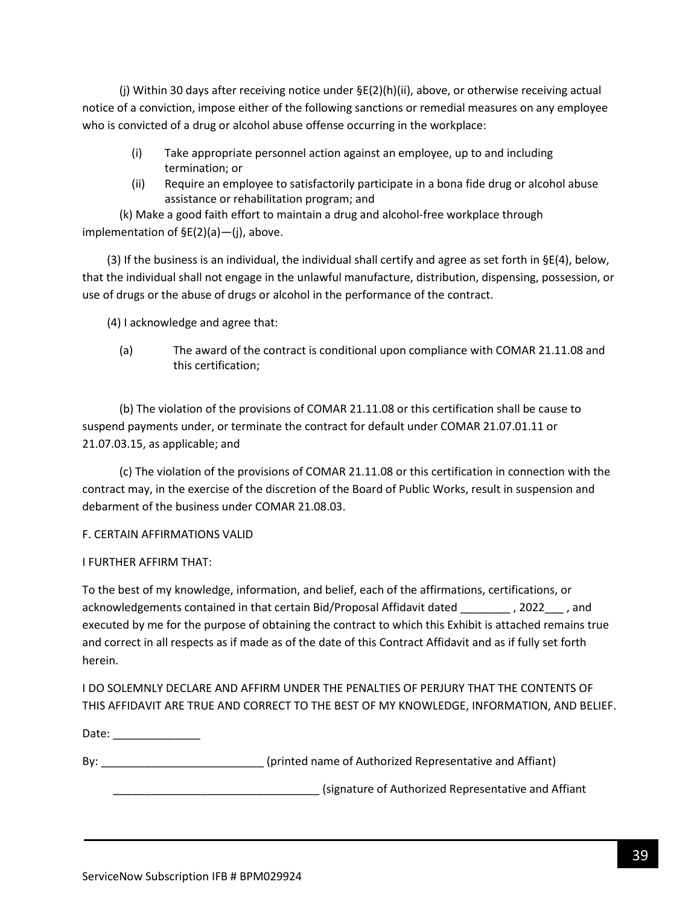(j) Within 30 days after receiving notice under §E(2)(h)(ii), above, or otherwise receiving actual notice of a conviction, impose either of the following sanctions or remedial measures on any employee who is convicted of a drug or alcohol abuse offense occurring in the workplace:

- (i) Take appropriate personnel action against an employee, up to and including termination; or
- (ii) Require an employee to satisfactorily participate in a bona fide drug or alcohol abuse assistance or rehabilitation program; and

(k) Make a good faith effort to maintain a drug and alcohol-free workplace through implementation of §E(2)(a)—(j), above.

(3) If the business is an individual, the individual shall certify and agree as set forth in  $\S E(4)$ , below, that the individual shall not engage in the unlawful manufacture, distribution, dispensing, possession, or use of drugs or the abuse of drugs or alcohol in the performance of the contract.

(4) I acknowledge and agree that:

(a) The award of the contract is conditional upon compliance with COMAR 21.11.08 and this certification;

(b) The violation of the provisions of COMAR 21.11.08 or this certification shall be cause to suspend payments under, or terminate the contract for default under COMAR 21.07.01.11 or 21.07.03.15, as applicable; and

(c) The violation of the provisions of COMAR 21.11.08 or this certification in connection with the contract may, in the exercise of the discretion of the Board of Public Works, result in suspension and debarment of the business under COMAR 21.08.03.

# F. CERTAIN AFFIRMATIONS VALID

# I FURTHER AFFIRM THAT:

To the best of my knowledge, information, and belief, each of the affirmations, certifications, or acknowledgements contained in that certain Bid/Proposal Affidavit dated \_\_\_\_\_\_\_\_ , 2022\_\_\_ , and executed by me for the purpose of obtaining the contract to which this Exhibit is attached remains true and correct in all respects as if made as of the date of this Contract Affidavit and as if fully set forth herein.

I DO SOLEMNLY DECLARE AND AFFIRM UNDER THE PENALTIES OF PERJURY THAT THE CONTENTS OF THIS AFFIDAVIT ARE TRUE AND CORRECT TO THE BEST OF MY KNOWLEDGE, INFORMATION, AND BELIEF.

Date: \_\_\_\_\_\_\_\_\_\_\_\_\_\_\_

By: example and the state of Authorized Representative and Affiant)

\_\_\_\_\_\_\_\_\_\_\_\_\_\_\_\_\_\_\_\_\_\_\_\_\_\_\_\_\_\_\_\_\_ (signature of Authorized Representative and Affiant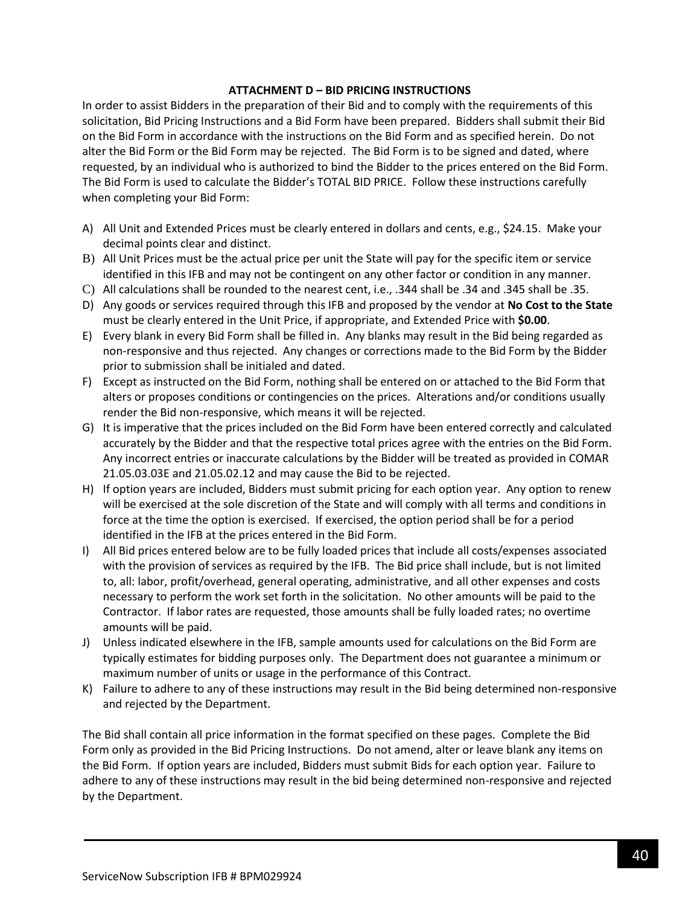### **ATTACHMENT D – BID PRICING INSTRUCTIONS**

In order to assist Bidders in the preparation of their Bid and to comply with the requirements of this solicitation, Bid Pricing Instructions and a Bid Form have been prepared. Bidders shall submit their Bid on the Bid Form in accordance with the instructions on the Bid Form and as specified herein. Do not alter the Bid Form or the Bid Form may be rejected. The Bid Form is to be signed and dated, where requested, by an individual who is authorized to bind the Bidder to the prices entered on the Bid Form. The Bid Form is used to calculate the Bidder's TOTAL BID PRICE. Follow these instructions carefully when completing your Bid Form:

- A) All Unit and Extended Prices must be clearly entered in dollars and cents, e.g., \$24.15. Make your decimal points clear and distinct.
- B) All Unit Prices must be the actual price per unit the State will pay for the specific item or service identified in this IFB and may not be contingent on any other factor or condition in any manner.
- C) All calculations shall be rounded to the nearest cent, i.e., .344 shall be .34 and .345 shall be .35.
- D) Any goods or services required through this IFB and proposed by the vendor at **No Cost to the State** must be clearly entered in the Unit Price, if appropriate, and Extended Price with **\$0.00**.
- E) Every blank in every Bid Form shall be filled in. Any blanks may result in the Bid being regarded as non-responsive and thus rejected. Any changes or corrections made to the Bid Form by the Bidder prior to submission shall be initialed and dated.
- F) Except as instructed on the Bid Form, nothing shall be entered on or attached to the Bid Form that alters or proposes conditions or contingencies on the prices. Alterations and/or conditions usually render the Bid non-responsive, which means it will be rejected.
- G) It is imperative that the prices included on the Bid Form have been entered correctly and calculated accurately by the Bidder and that the respective total prices agree with the entries on the Bid Form. Any incorrect entries or inaccurate calculations by the Bidder will be treated as provided in COMAR 21.05.03.03E and 21.05.02.12 and may cause the Bid to be rejected.
- H) If option years are included, Bidders must submit pricing for each option year. Any option to renew will be exercised at the sole discretion of the State and will comply with all terms and conditions in force at the time the option is exercised. If exercised, the option period shall be for a period identified in the IFB at the prices entered in the Bid Form.
- I) All Bid prices entered below are to be fully loaded prices that include all costs/expenses associated with the provision of services as required by the IFB. The Bid price shall include, but is not limited to, all: labor, profit/overhead, general operating, administrative, and all other expenses and costs necessary to perform the work set forth in the solicitation. No other amounts will be paid to the Contractor. If labor rates are requested, those amounts shall be fully loaded rates; no overtime amounts will be paid.
- J) Unless indicated elsewhere in the IFB, sample amounts used for calculations on the Bid Form are typically estimates for bidding purposes only. The Department does not guarantee a minimum or maximum number of units or usage in the performance of this Contract.
- K) Failure to adhere to any of these instructions may result in the Bid being determined non-responsive and rejected by the Department.

The Bid shall contain all price information in the format specified on these pages. Complete the Bid Form only as provided in the Bid Pricing Instructions. Do not amend, alter or leave blank any items on the Bid Form. If option years are included, Bidders must submit Bids for each option year. Failure to adhere to any of these instructions may result in the bid being determined non-responsive and rejected by the Department.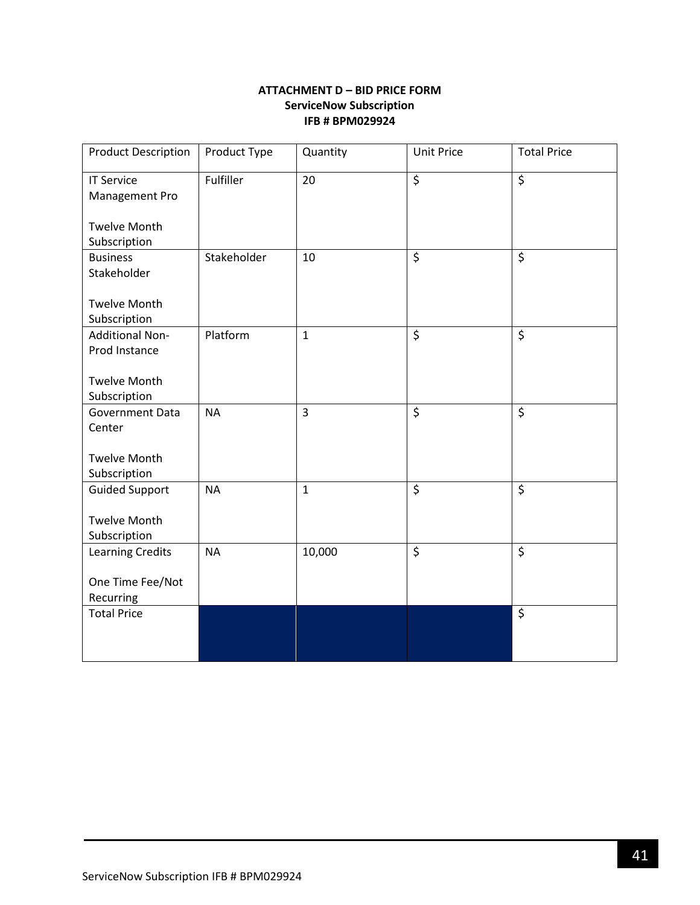### **ATTACHMENT D – BID PRICE FORM ServiceNow Subscription IFB # BPM029924**

<span id="page-40-0"></span>

| <b>Product Description</b>          | Product Type | Quantity     | <b>Unit Price</b> | <b>Total Price</b> |
|-------------------------------------|--------------|--------------|-------------------|--------------------|
| <b>IT Service</b>                   | Fulfiller    | 20           | \$                | $\overline{\xi}$   |
| Management Pro                      |              |              |                   |                    |
| <b>Twelve Month</b>                 |              |              |                   |                    |
| Subscription                        |              |              |                   |                    |
| <b>Business</b>                     | Stakeholder  | 10           | \$                | \$                 |
| Stakeholder                         |              |              |                   |                    |
| <b>Twelve Month</b>                 |              |              |                   |                    |
| Subscription                        |              |              |                   |                    |
| <b>Additional Non-</b>              | Platform     | $\mathbf{1}$ | \$                | $\overline{\xi}$   |
| Prod Instance                       |              |              |                   |                    |
| <b>Twelve Month</b>                 |              |              |                   |                    |
| Subscription                        |              |              |                   |                    |
| Government Data                     | <b>NA</b>    | 3            | \$                | \$                 |
| Center                              |              |              |                   |                    |
|                                     |              |              |                   |                    |
| <b>Twelve Month</b><br>Subscription |              |              |                   |                    |
| <b>Guided Support</b>               | <b>NA</b>    | $\mathbf{1}$ | \$                | $\overline{\xi}$   |
|                                     |              |              |                   |                    |
| <b>Twelve Month</b>                 |              |              |                   |                    |
| Subscription                        |              |              |                   |                    |
| <b>Learning Credits</b>             | <b>NA</b>    | 10,000       | \$                | \$                 |
|                                     |              |              |                   |                    |
| One Time Fee/Not                    |              |              |                   |                    |
| Recurring<br><b>Total Price</b>     |              |              |                   | \$                 |
|                                     |              |              |                   |                    |
|                                     |              |              |                   |                    |
|                                     |              |              |                   |                    |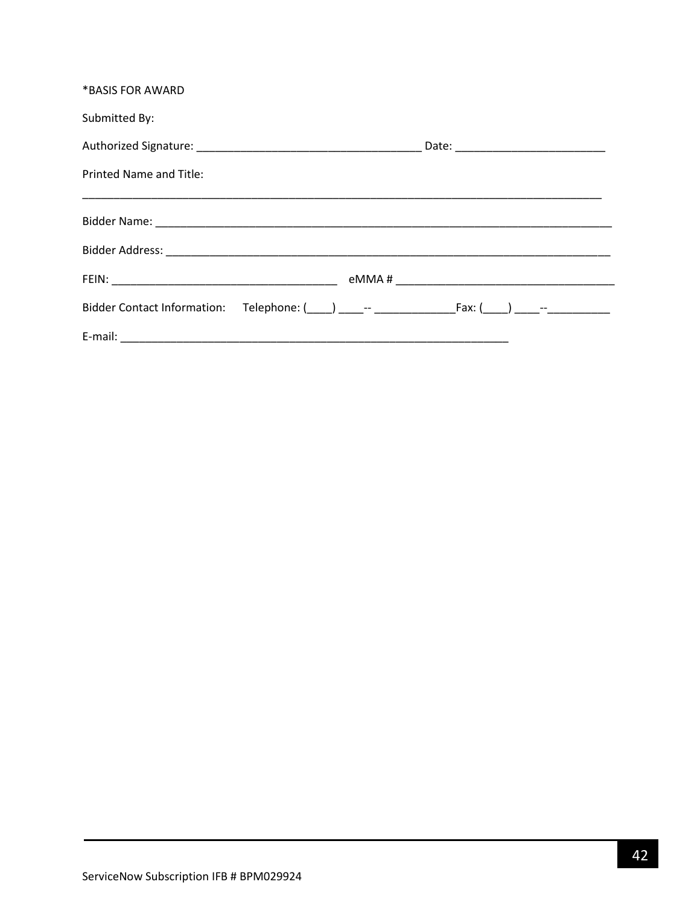| *BASIS FOR AWARD               |  |  |
|--------------------------------|--|--|
| Submitted By:                  |  |  |
|                                |  |  |
| <b>Printed Name and Title:</b> |  |  |
|                                |  |  |
|                                |  |  |
|                                |  |  |
|                                |  |  |
|                                |  |  |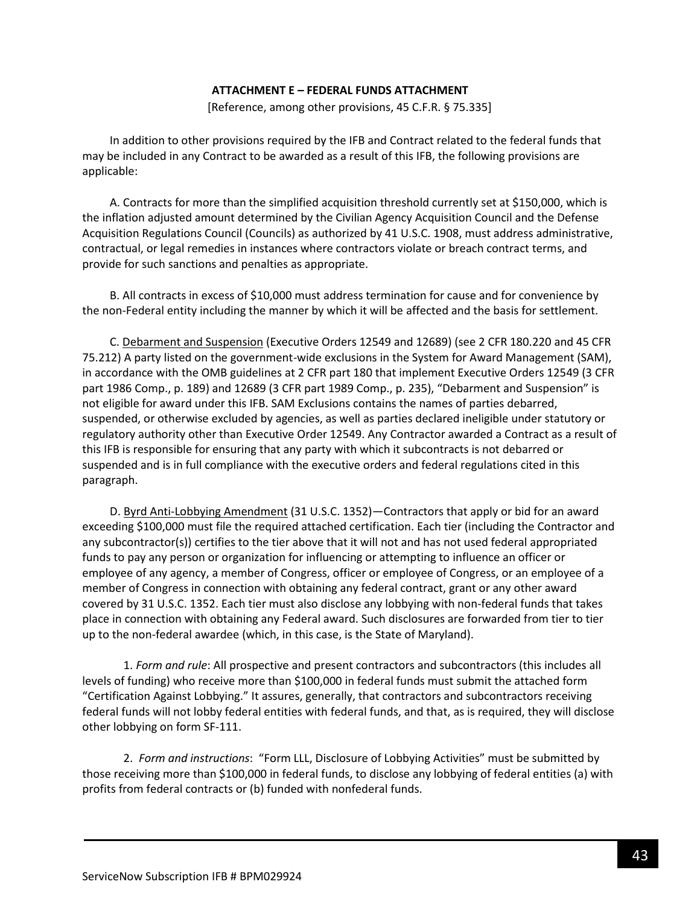#### **ATTACHMENT E – FEDERAL FUNDS ATTACHMENT**

[Reference, among other provisions, 45 C.F.R. § 75.335]

<span id="page-42-0"></span>In addition to other provisions required by the IFB and Contract related to the federal funds that may be included in any Contract to be awarded as a result of this IFB, the following provisions are applicable:

A. Contracts for more than the simplified acquisition threshold currently set at \$150,000, which is the inflation adjusted amount determined by the Civilian Agency Acquisition Council and the Defense Acquisition Regulations Council (Councils) as authorized by 41 U.S.C. 1908, must address administrative, contractual, or legal remedies in instances where contractors violate or breach contract terms, and provide for such sanctions and penalties as appropriate.

B. All contracts in excess of \$10,000 must address termination for cause and for convenience by the non-Federal entity including the manner by which it will be affected and the basis for settlement.

C. Debarment and Suspension (Executive Orders 12549 and 12689) (see 2 CFR 180.220 and 45 CFR 75.212) A party listed on the government-wide exclusions in the System for Award Management (SAM), in accordance with the OMB guidelines at 2 CFR part 180 that implement Executive Orders 12549 (3 CFR part 1986 Comp., p. 189) and 12689 (3 CFR part 1989 Comp., p. 235), "Debarment and Suspension" is not eligible for award under this IFB. SAM Exclusions contains the names of parties debarred, suspended, or otherwise excluded by agencies, as well as parties declared ineligible under statutory or regulatory authority other than Executive Order 12549. Any Contractor awarded a Contract as a result of this IFB is responsible for ensuring that any party with which it subcontracts is not debarred or suspended and is in full compliance with the executive orders and federal regulations cited in this paragraph.

D. Byrd Anti-Lobbying Amendment (31 U.S.C. 1352)—Contractors that apply or bid for an award exceeding \$100,000 must file the required attached certification. Each tier (including the Contractor and any subcontractor(s)) certifies to the tier above that it will not and has not used federal appropriated funds to pay any person or organization for influencing or attempting to influence an officer or employee of any agency, a member of Congress, officer or employee of Congress, or an employee of a member of Congress in connection with obtaining any federal contract, grant or any other award covered by 31 U.S.C. 1352. Each tier must also disclose any lobbying with non-federal funds that takes place in connection with obtaining any Federal award. Such disclosures are forwarded from tier to tier up to the non-federal awardee (which, in this case, is the State of Maryland).

1. *Form and rule*: All prospective and present contractors and subcontractors (this includes all levels of funding) who receive more than \$100,000 in federal funds must submit the attached form "Certification Against Lobbying." It assures, generally, that contractors and subcontractors receiving federal funds will not lobby federal entities with federal funds, and that, as is required, they will disclose other lobbying on form SF-111.

2. *Form and instructions*: "Form LLL, Disclosure of Lobbying Activities" must be submitted by those receiving more than \$100,000 in federal funds, to disclose any lobbying of federal entities (a) with profits from federal contracts or (b) funded with nonfederal funds.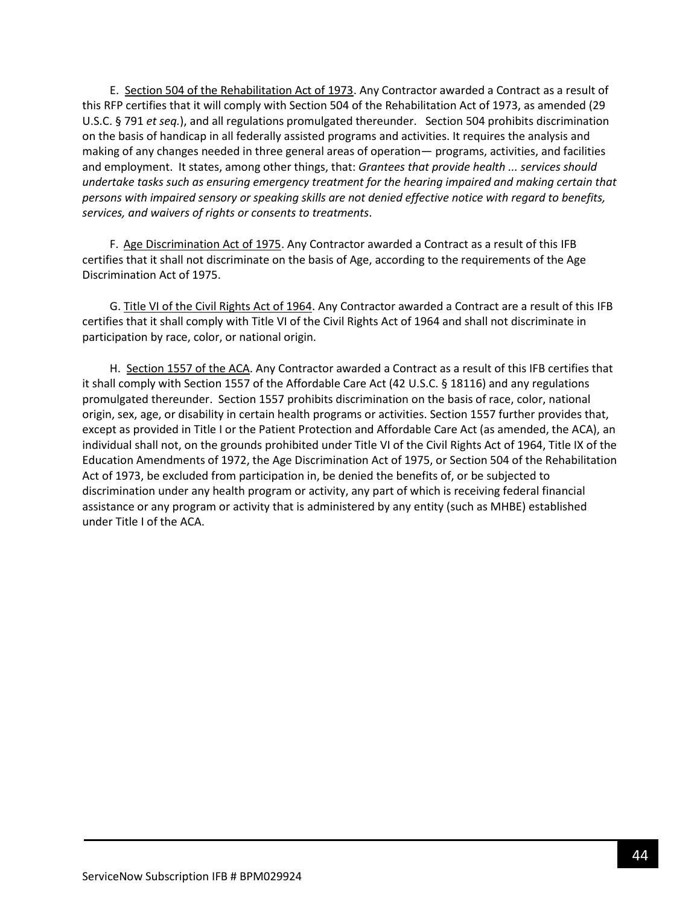E. Section 504 of the Rehabilitation Act of 1973. Any Contractor awarded a Contract as a result of this RFP certifies that it will comply with Section 504 of the Rehabilitation Act of 1973, as amended (29 U.S.C. § 791 *et seq.*), and all regulations promulgated thereunder. Section 504 prohibits discrimination on the basis of handicap in all federally assisted programs and activities. It requires the analysis and making of any changes needed in three general areas of operation— programs, activities, and facilities and employment. It states, among other things, that: *Grantees that provide health ... services should undertake tasks such as ensuring emergency treatment for the hearing impaired and making certain that persons with impaired sensory or speaking skills are not denied effective notice with regard to benefits, services, and waivers of rights or consents to treatments*.

F. Age Discrimination Act of 1975. Any Contractor awarded a Contract as a result of this IFB certifies that it shall not discriminate on the basis of Age, according to the requirements of the Age Discrimination Act of 1975.

G. Title VI of the Civil Rights Act of 1964. Any Contractor awarded a Contract are a result of this IFB certifies that it shall comply with Title VI of the Civil Rights Act of 1964 and shall not discriminate in participation by race, color, or national origin.

H. Section 1557 of the ACA. Any Contractor awarded a Contract as a result of this IFB certifies that it shall comply with Section 1557 of the Affordable Care Act (42 U.S.C. § 18116) and any regulations promulgated thereunder. Section 1557 prohibits discrimination on the basis of race, color, national origin, sex, age, or disability in certain health programs or activities. Section 1557 further provides that, except as provided in Title I or the Patient Protection and Affordable Care Act (as amended, the ACA), an individual shall not, on the grounds prohibited under Title VI of the Civil Rights Act of 1964, Title IX of the Education Amendments of 1972, the Age Discrimination Act of 1975, or Section 504 of the Rehabilitation Act of 1973, be excluded from participation in, be denied the benefits of, or be subjected to discrimination under any health program or activity, any part of which is receiving federal financial assistance or any program or activity that is administered by any entity (such as MHBE) established under Title I of the ACA.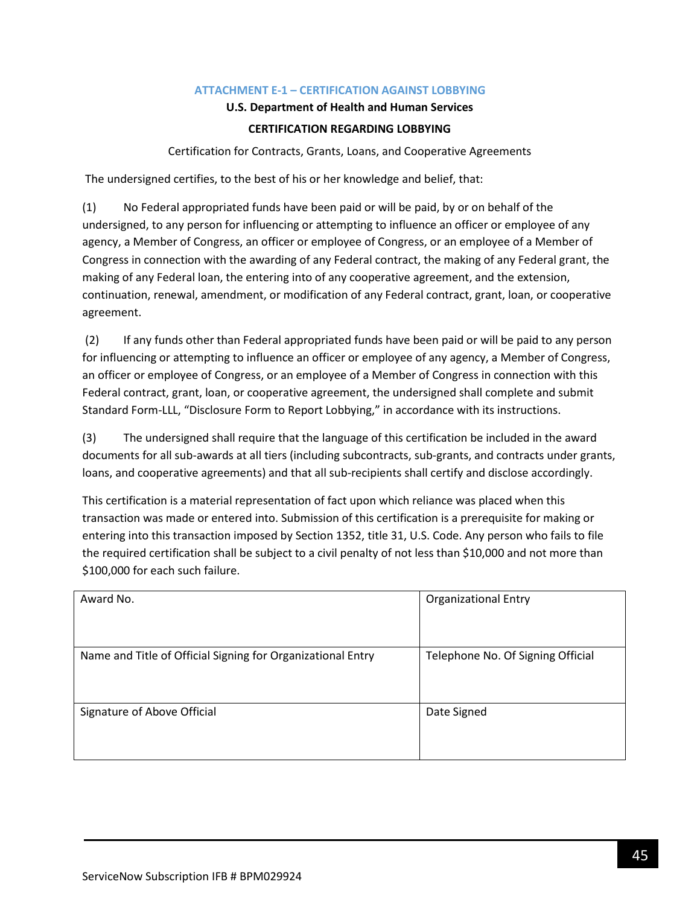### **ATTACHMENT E-1 – CERTIFICATION AGAINST LOBBYING**

### **U.S. Department of Health and Human Services**

### **CERTIFICATION REGARDING LOBBYING**

Certification for Contracts, Grants, Loans, and Cooperative Agreements

<span id="page-44-0"></span>The undersigned certifies, to the best of his or her knowledge and belief, that:

(1) No Federal appropriated funds have been paid or will be paid, by or on behalf of the undersigned, to any person for influencing or attempting to influence an officer or employee of any agency, a Member of Congress, an officer or employee of Congress, or an employee of a Member of Congress in connection with the awarding of any Federal contract, the making of any Federal grant, the making of any Federal loan, the entering into of any cooperative agreement, and the extension, continuation, renewal, amendment, or modification of any Federal contract, grant, loan, or cooperative agreement.

(2) If any funds other than Federal appropriated funds have been paid or will be paid to any person for influencing or attempting to influence an officer or employee of any agency, a Member of Congress, an officer or employee of Congress, or an employee of a Member of Congress in connection with this Federal contract, grant, loan, or cooperative agreement, the undersigned shall complete and submit Standard Form-LLL, "Disclosure Form to Report Lobbying," in accordance with its instructions.

(3) The undersigned shall require that the language of this certification be included in the award documents for all sub-awards at all tiers (including subcontracts, sub-grants, and contracts under grants, loans, and cooperative agreements) and that all sub-recipients shall certify and disclose accordingly.

This certification is a material representation of fact upon which reliance was placed when this transaction was made or entered into. Submission of this certification is a prerequisite for making or entering into this transaction imposed by Section 1352, title 31, U.S. Code. Any person who fails to file the required certification shall be subject to a civil penalty of not less than \$10,000 and not more than \$100,000 for each such failure.

| Award No.                                                   | <b>Organizational Entry</b>       |
|-------------------------------------------------------------|-----------------------------------|
| Name and Title of Official Signing for Organizational Entry | Telephone No. Of Signing Official |
|                                                             |                                   |
| Signature of Above Official                                 | Date Signed                       |
|                                                             |                                   |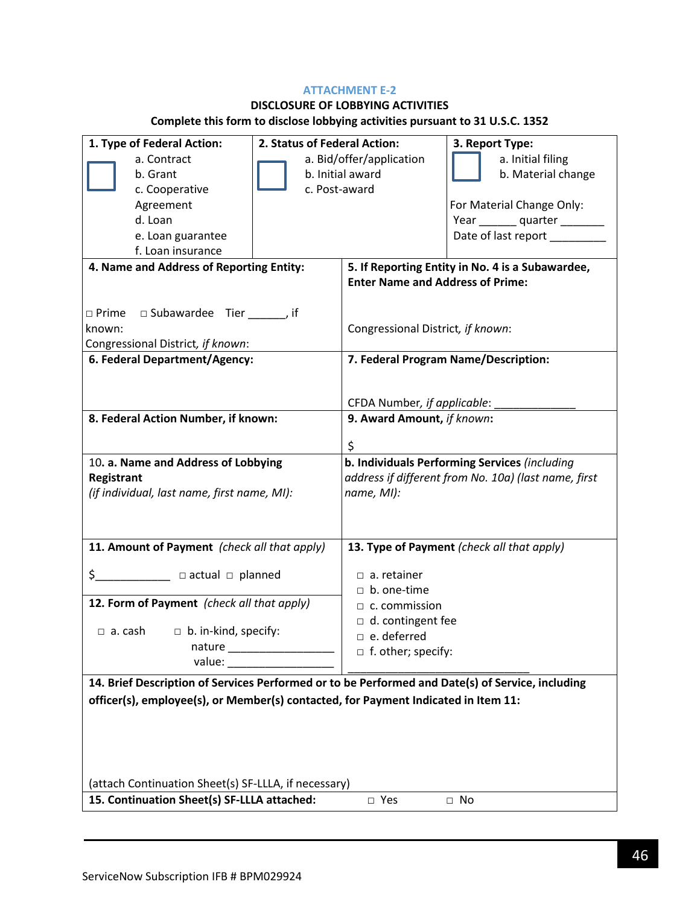### **ATTACHMENT E-2**

# **DISCLOSURE OF LOBBYING ACTIVITIES**

# **Complete this form to disclose lobbying activities pursuant to 31 U.S.C. 1352**

| 1. Type of Federal Action:                                                                       | 2. Status of Federal Action: |                                                      | 3. Report Type:                            |  |
|--------------------------------------------------------------------------------------------------|------------------------------|------------------------------------------------------|--------------------------------------------|--|
| a. Contract                                                                                      | a. Bid/offer/application     |                                                      | a. Initial filing                          |  |
| b. Grant                                                                                         | b. Initial award             |                                                      | b. Material change                         |  |
| c. Cooperative                                                                                   | c. Post-award                |                                                      |                                            |  |
| Agreement                                                                                        |                              |                                                      | For Material Change Only:                  |  |
| d. Loan                                                                                          |                              |                                                      | Year quarter                               |  |
| e. Loan guarantee                                                                                |                              |                                                      | Date of last report _________              |  |
| f. Loan insurance                                                                                |                              |                                                      |                                            |  |
| 4. Name and Address of Reporting Entity:                                                         |                              | 5. If Reporting Entity in No. 4 is a Subawardee,     |                                            |  |
|                                                                                                  |                              | <b>Enter Name and Address of Prime:</b>              |                                            |  |
|                                                                                                  |                              |                                                      |                                            |  |
| $\Box$ Prime $\Box$ Subawardee Tier ______, if                                                   |                              |                                                      |                                            |  |
| known:                                                                                           |                              | Congressional District, if known:                    |                                            |  |
| Congressional District, if known:                                                                |                              |                                                      |                                            |  |
| 6. Federal Department/Agency:                                                                    |                              | 7. Federal Program Name/Description:                 |                                            |  |
|                                                                                                  |                              |                                                      |                                            |  |
|                                                                                                  |                              | CFDA Number, if applicable:                          |                                            |  |
| 8. Federal Action Number, if known:                                                              |                              | 9. Award Amount, if known:                           |                                            |  |
|                                                                                                  |                              |                                                      |                                            |  |
|                                                                                                  |                              | \$                                                   |                                            |  |
| 10. a. Name and Address of Lobbying                                                              |                              | b. Individuals Performing Services (including        |                                            |  |
| Registrant                                                                                       |                              | address if different from No. 10a) (last name, first |                                            |  |
| (if individual, last name, first name, MI):                                                      |                              | name, MI):                                           |                                            |  |
|                                                                                                  |                              |                                                      |                                            |  |
|                                                                                                  |                              |                                                      |                                            |  |
| 11. Amount of Payment (check all that apply)                                                     |                              |                                                      | 13. Type of Payment (check all that apply) |  |
|                                                                                                  |                              | $\Box$ a. retainer                                   |                                            |  |
|                                                                                                  |                              | $\Box$ b. one-time                                   |                                            |  |
| 12. Form of Payment (check all that apply)                                                       |                              | $\Box$ c. commission                                 |                                            |  |
|                                                                                                  |                              | $\Box$ d. contingent fee                             |                                            |  |
| $\Box$ b. in-kind, specify:<br>$\Box$ a. cash                                                    |                              | $\Box$ e. deferred                                   |                                            |  |
| nature                                                                                           |                              | $\Box$ f. other; specify:                            |                                            |  |
|                                                                                                  |                              |                                                      |                                            |  |
| 14. Brief Description of Services Performed or to be Performed and Date(s) of Service, including |                              |                                                      |                                            |  |
| officer(s), employee(s), or Member(s) contacted, for Payment Indicated in Item 11:               |                              |                                                      |                                            |  |
|                                                                                                  |                              |                                                      |                                            |  |
|                                                                                                  |                              |                                                      |                                            |  |
|                                                                                                  |                              |                                                      |                                            |  |
|                                                                                                  |                              |                                                      |                                            |  |
| (attach Continuation Sheet(s) SF-LLLA, if necessary)                                             |                              |                                                      |                                            |  |
| 15. Continuation Sheet(s) SF-LLLA attached:<br>□ Yes<br>$\Box$ No                                |                              |                                                      |                                            |  |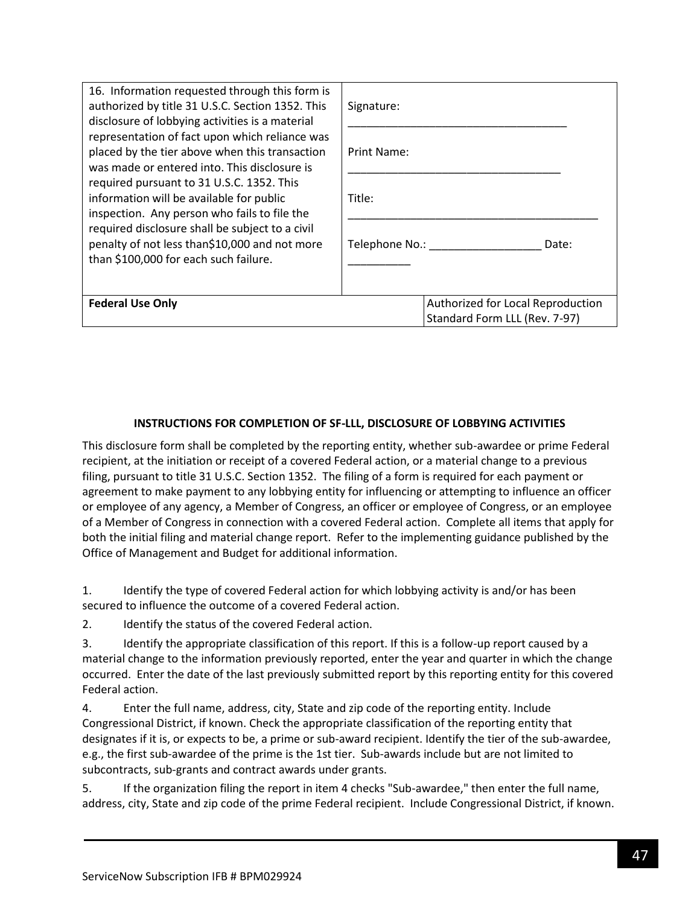| 16. Information requested through this form is<br>authorized by title 31 U.S.C. Section 1352. This<br>disclosure of lobbying activities is a material                                                                                                                                                                                                                                                                                  | Signature:                                                         |  |  |
|----------------------------------------------------------------------------------------------------------------------------------------------------------------------------------------------------------------------------------------------------------------------------------------------------------------------------------------------------------------------------------------------------------------------------------------|--------------------------------------------------------------------|--|--|
| representation of fact upon which reliance was<br>placed by the tier above when this transaction<br>was made or entered into. This disclosure is<br>required pursuant to 31 U.S.C. 1352. This<br>information will be available for public<br>inspection. Any person who fails to file the<br>required disclosure shall be subject to a civil<br>penalty of not less than\$10,000 and not more<br>than \$100,000 for each such failure. | Print Name:                                                        |  |  |
|                                                                                                                                                                                                                                                                                                                                                                                                                                        | Title:                                                             |  |  |
|                                                                                                                                                                                                                                                                                                                                                                                                                                        | Telephone No.:<br>Date:                                            |  |  |
| <b>Federal Use Only</b>                                                                                                                                                                                                                                                                                                                                                                                                                | Authorized for Local Reproduction<br>Standard Form LLL (Rev. 7-97) |  |  |

### **INSTRUCTIONS FOR COMPLETION OF SF-LLL, DISCLOSURE OF LOBBYING ACTIVITIES**

This disclosure form shall be completed by the reporting entity, whether sub-awardee or prime Federal recipient, at the initiation or receipt of a covered Federal action, or a material change to a previous filing, pursuant to title 31 U.S.C. Section 1352. The filing of a form is required for each payment or agreement to make payment to any lobbying entity for influencing or attempting to influence an officer or employee of any agency, a Member of Congress, an officer or employee of Congress, or an employee of a Member of Congress in connection with a covered Federal action. Complete all items that apply for both the initial filing and material change report. Refer to the implementing guidance published by the Office of Management and Budget for additional information.

1. Identify the type of covered Federal action for which lobbying activity is and/or has been secured to influence the outcome of a covered Federal action.

2. Identify the status of the covered Federal action.

3. Identify the appropriate classification of this report. If this is a follow-up report caused by a material change to the information previously reported, enter the year and quarter in which the change occurred. Enter the date of the last previously submitted report by this reporting entity for this covered Federal action.

4. Enter the full name, address, city, State and zip code of the reporting entity. Include Congressional District, if known. Check the appropriate classification of the reporting entity that designates if it is, or expects to be, a prime or sub-award recipient. Identify the tier of the sub-awardee, e.g., the first sub-awardee of the prime is the 1st tier. Sub-awards include but are not limited to subcontracts, sub-grants and contract awards under grants.

5. If the organization filing the report in item 4 checks "Sub-awardee," then enter the full name, address, city, State and zip code of the prime Federal recipient. Include Congressional District, if known.